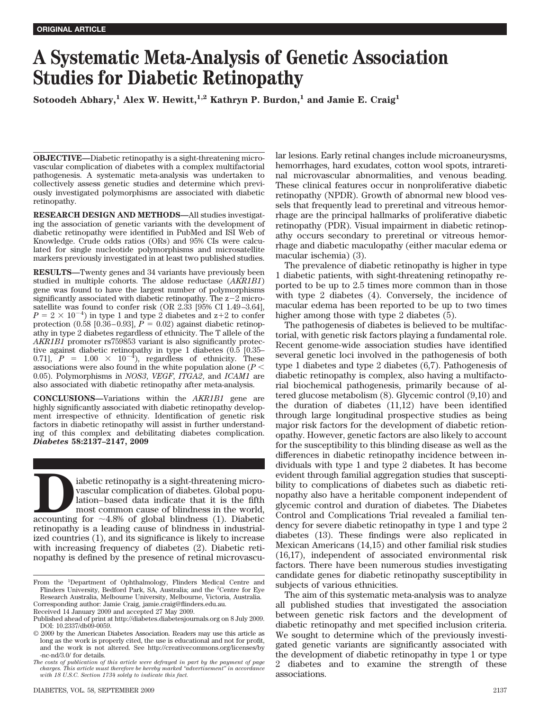# **A Systematic Meta-Analysis of Genetic Association Studies for Diabetic Retinopathy**

Sotoodeh Abhary,<sup>1</sup> Alex W. Hewitt,<sup>1,2</sup> Kathryn P. Burdon,<sup>1</sup> and Jamie E. Craig<sup>1</sup>

**OBJECTIVE—**Diabetic retinopathy is a sight-threatening microvascular complication of diabetes with a complex multifactorial pathogenesis. A systematic meta-analysis was undertaken to collectively assess genetic studies and determine which previously investigated polymorphisms are associated with diabetic retinopathy.

**RESEARCH DESIGN AND METHODS—**All studies investigating the association of genetic variants with the development of diabetic retinopathy were identified in PubMed and ISI Web of Knowledge. Crude odds ratios (ORs) and 95% CIs were calculated for single nucleotide polymorphisms and microsatellite markers previously investigated in at least two published studies.

**RESULTS—**Twenty genes and 34 variants have previously been studied in multiple cohorts. The aldose reductase (*AKR1B1*) gene was found to have the largest number of polymorphisms significantly associated with diabetic retinopathy. The  $z-2$  microsatellite was found to confer risk (OR 2.33 [95% CI 1.49 –3.64],  $P = 2 \times 10^{-4}$ ) in type 1 and type 2 diabetes and z+2 to confer protection  $(0.58 \, [0.36 - 0.93], P = 0.02)$  against diabetic retinopathy in type 2 diabetes regardless of ethnicity. The T allele of the *AKR1B1* promoter rs759853 variant is also significantly protective against diabetic retinopathy in type 1 diabetes (0.5 [0.35– 0.71],  $P = 1.00 \times 10^{-4}$ , regardless of ethnicity. These associations were also found in the white population alone (*P* 0.05). Polymorphisms in *NOS3*, *VEGF*, *ITGA2*, and *ICAM1* are also associated with diabetic retinopathy after meta-analysis.

**CONCLUSIONS—**Variations within the *AKR1B1* gene are highly significantly associated with diabetic retinopathy development irrespective of ethnicity. Identification of genetic risk factors in diabetic retinopathy will assist in further understanding of this complex and debilitating diabetes complication. *Diabetes* **58:2137–2147, 2009**

iabetic retinopathy is a sight-threatening micro-<br>vascular complication of diabetes. Global population-based data indicate that it is the fifth<br>most common cause of blindness in the world,<br>accounting for  $\sim$ 4.8% of global vascular complication of diabetes. Global population– based data indicate that it is the fifth most common cause of blindness in the world, retinopathy is a leading cause of blindness in industrialized countries (1), and its significance is likely to increase with increasing frequency of diabetes (2). Diabetic retinopathy is defined by the presence of retinal microvascu-

Corresponding author: Jamie Craig, jamie.craig@flinders.edu.au.

Received 14 January 2009 and accepted 27 May 2009.

lar lesions. Early retinal changes include microaneurysms, hemorrhages, hard exudates, cotton wool spots, intraretinal microvascular abnormalities, and venous beading. These clinical features occur in nonproliferative diabetic retinopathy (NPDR). Growth of abnormal new blood vessels that frequently lead to preretinal and vitreous hemorrhage are the principal hallmarks of proliferative diabetic retinopathy (PDR). Visual impairment in diabetic retinopathy occurs secondary to preretinal or vitreous hemorrhage and diabetic maculopathy (either macular edema or macular ischemia) (3).

The prevalence of diabetic retinopathy is higher in type 1 diabetic patients, with sight-threatening retinopathy reported to be up to 2.5 times more common than in those with type 2 diabetes (4). Conversely, the incidence of macular edema has been reported to be up to two times higher among those with type 2 diabetes (5).

The pathogenesis of diabetes is believed to be multifactorial, with genetic risk factors playing a fundamental role. Recent genome-wide association studies have identified several genetic loci involved in the pathogenesis of both type 1 diabetes and type 2 diabetes (6,7). Pathogenesis of diabetic retinopathy is complex, also having a multifactorial biochemical pathogenesis, primarily because of altered glucose metabolism (8). Glycemic control (9,10) and the duration of diabetes (11,12) have been identified through large longitudinal prospective studies as being major risk factors for the development of diabetic retionopathy. However, genetic factors are also likely to account for the susceptibility to this blinding disease as well as the differences in diabetic retinopathy incidence between individuals with type 1 and type 2 diabetes. It has become evident through familial aggregation studies that susceptibility to complications of diabetes such as diabetic retinopathy also have a heritable component independent of glycemic control and duration of diabetes. The Diabetes Control and Complications Trial revealed a familial tendency for severe diabetic retinopathy in type 1 and type 2 diabetes (13). These findings were also replicated in Mexican Americans (14,15) and other familial risk studies (16,17), independent of associated environmental risk factors. There have been numerous studies investigating candidate genes for diabetic retinopathy susceptibility in subjects of various ethnicities.

The aim of this systematic meta-analysis was to analyze all published studies that investigated the association between genetic risk factors and the development of diabetic retinopathy and met specified inclusion criteria. We sought to determine which of the previously investigated genetic variants are significantly associated with the development of diabetic retinopathy in type 1 or type 2 diabetes and to examine the strength of these associations.

From the <sup>1</sup>Department of Ophthalmology, Flinders Medical Centre and Flinders University, Bedford Park, SA, Australia; and the <sup>2</sup>Centre for Eye Research Australia, Melbourne University, Melbourne, Victoria, Australia.

Published ahead of print at http://diabetes.diabetesjournals.org on 8 July 2009. DOI: 10.2337/db09-0059.

<sup>© 2009</sup> by the American Diabetes Association. Readers may use this article as long as the work is properly cited, the use is educational and not for profit, and the work is not altered. See http://creativecommons.org/licenses/by -nc-nd/3.0/ for details.

*The costs of publication of this article were defrayed in part by the payment of page charges. This article must therefore be hereby marked "advertisement" in accordance with 18 U.S.C. Section 1734 solely to indicate this fact.*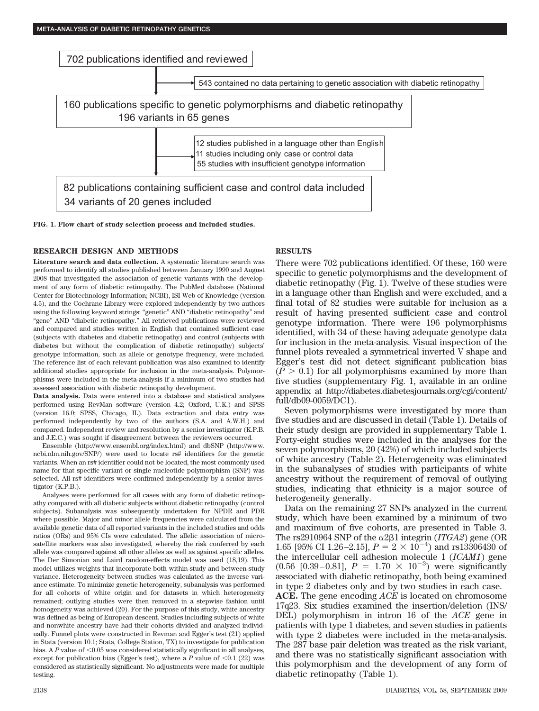

**FIG. 1. Flow chart of study selection process and included studies.**

## **RESEARCH DESIGN AND METHODS**

**Literature search and data collection.** A systematic literature search was performed to identify all studies published between January 1990 and August 2008 that investigated the association of genetic variants with the development of any form of diabetic retinopathy. The PubMed database (National Center for Biotechnology Information; NCBI), ISI Web of Knowledge (version 4.5), and the Cochrane Library were explored independently by two authors using the following keyword strings: "genetic" AND "diabetic retinopathy" and "gene" AND "diabetic retinopathy." All retrieved publications were reviewed and compared and studies written in English that contained sufficient case (subjects with diabetes and diabetic retinopathy) and control (subjects with diabetes but without the complication of diabetic retinopathy) subjects' genotype information, such as allele or genotype frequency, were included. The reference list of each relevant publication was also examined to identify additional studies appropriate for inclusion in the meta-analysis. Polymorphisms were included in the meta-analysis if a minimum of two studies had assessed association with diabetic retinopathy development.

**Data analysis.** Data were entered into a database and statistical analyses performed using RevMan software (version 4.2; Oxford, U.K.) and SPSS (version 16.0; SPSS, Chicago, IL). Data extraction and data entry was performed independently by two of the authors (S.A. and A.W.H.) and compared. Independent review and resolution by a senior investigator (K.P.B. and J.E.C.) was sought if disagreement between the reviewers occurred.

Ensemble (http://www.ensembl.org/index.html) and dbSNP (http://www. ncbi.nlm.nih.gov/SNP/) were used to locate rs# identifiers for the genetic variants. When an rs# identifier could not be located, the most commonly used name for that specific variant or single nucleotide polymorphism (SNP) was selected. All rs# identifiers were confirmed independently by a senior investigator (K.P.B.).

Analyses were performed for all cases with any form of diabetic retinopathy compared with all diabetic subjects without diabetic retinopathy (control subjects). Subanalysis was subsequently undertaken for NPDR and PDR where possible. Major and minor allele frequencies were calculated from the available genetic data of all reported variants in the included studies and odds ratios (ORs) and 95% CIs were calculated. The allelic association of microsatellite markers was also investigated, whereby the risk conferred by each allele was compared against all other alleles as well as against specific alleles. The Der Simonian and Laird random-effects model was used (18,19). This model utilizes weights that incorporate both within-study and between-study variance. Heterogeneity between studies was calculated as the inverse variance estimate. To minimize genetic heterogeneity, subanalysis was performed for all cohorts of white origin and for datasets in which heterogeneity remained; outlying studies were then removed in a stepwise fashion until homogeneity was achieved (20). For the purpose of this study, white ancestry was defined as being of European descent. Studies including subjects of white and nonwhite ancestry have had their cohorts divided and analyzed individually. Funnel plots were constructed in Revman and Egger's test (21) applied in Stata (version 10.1; Stata, College Station, TX) to investigate for publication bias. A  $P$  value of  $\leq 0.05$  was considered statistically significant in all analyses, except for publication bias (Egger's test), where a  $P$  value of  $\leq 0.1$  (22) was considered as statistically significant. No adjustments were made for multiple testing.

# **RESULTS**

There were 702 publications identified. Of these, 160 were specific to genetic polymorphisms and the development of diabetic retinopathy (Fig. 1). Twelve of these studies were in a language other than English and were excluded, and a final total of 82 studies were suitable for inclusion as a result of having presented sufficient case and control genotype information. There were 196 polymorphisms identified, with 34 of these having adequate genotype data for inclusion in the meta-analysis. Visual inspection of the funnel plots revealed a symmetrical inverted V shape and Egger's test did not detect significant publication bias  $(P > 0.1)$  for all polymorphisms examined by more than five studies (supplementary Fig. 1, available in an online appendix at http://diabetes.diabetesjournals.org/cgi/content/ full/db09-0059/DC1).

Seven polymorphisms were investigated by more than five studies and are discussed in detail (Table 1). Details of their study design are provided in supplementary Table 1. Forty-eight studies were included in the analyses for the seven polymorphisms, 20 (42%) of which included subjects of white ancestry (Table 2). Heterogeneity was eliminated in the subanalyses of studies with participants of white ancestry without the requirement of removal of outlying studies, indicating that ethnicity is a major source of heterogeneity generally.

Data on the remaining 27 SNPs analyzed in the current study, which have been examined by a minimum of two and maximum of five cohorts, are presented in Table 3. The rs2910964 SNP of the  $\alpha$ 2 $\beta$ 1 integrin (*ITGA2*) gene (OR 1.65 [95% CI 1.26–2.15],  $P = 2 \times 10^{-4}$  and rs13306430 of the intercellular cell adhesion molecule 1 (*ICAM1*) gene  $(0.56 \, [0.39-0.81], P = 1.70 \times 10^{-3})$  were significantly associated with diabetic retinopathy, both being examined in type 2 diabetes only and by two studies in each case.

**ACE.** The gene encoding *ACE* is located on chromosome 17q23. Six studies examined the insertion/deletion (INS/ DEL) polymorphism in intron 16 of the *ACE* gene in patients with type 1 diabetes, and seven studies in patients with type 2 diabetes were included in the meta-analysis. The 287 base pair deletion was treated as the risk variant, and there was no statistically significant association with this polymorphism and the development of any form of diabetic retinopathy (Table 1).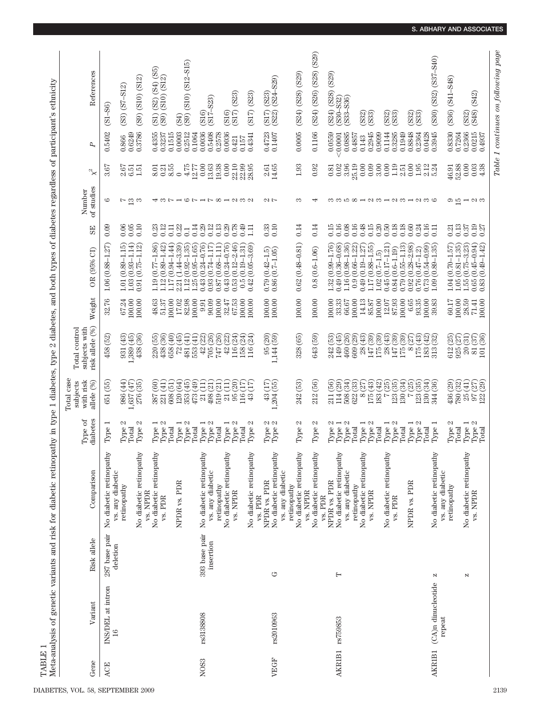Meta-analysis of genetic variants and risk for diabetic retinopathy in type 1 diabetes, type 2 diabetes, and both types of diabetes regardless of participant's ethnicity Meta-analysis of genetic variants and risk for diabetic retinopathy in type 1 diabetes, type 2 diabetes, and both types of diabetes regardless of participant's ethnicity TABLE 1 TABLE 1

| Gene                           | Variant                            | Risk allele                | Comparison                                         | diabetes<br>Type of                                          | Total case<br>with risk<br>allele (%)<br>subjects      | risk allele (%)<br>subjects with<br>Total control                | Weight              | OR (95% CI)                                                               | SE                       | of studies<br>Number               | $\chi^2$                                     | P                  | References                                                          |
|--------------------------------|------------------------------------|----------------------------|----------------------------------------------------|--------------------------------------------------------------|--------------------------------------------------------|------------------------------------------------------------------|---------------------|---------------------------------------------------------------------------|--------------------------|------------------------------------|----------------------------------------------|--------------------|---------------------------------------------------------------------|
| <b>ACE</b>                     | INS/DEL at intron<br>$\frac{6}{1}$ | 287 base pair<br>deletion  | No diabetic retinopathy<br>vs. any diabetic        | Type 1                                                       | 651 (55)                                               | 458 (52)                                                         | 32.76               | $1.06(0.88 - 1.27)$                                                       | 0.09                     | అ                                  | 3.67                                         | 0.5402             | $(S1 - S6)$                                                         |
|                                |                                    |                            | retinopathy                                        | Type $2$                                                     | ,637(47)<br>986 (44)                                   | , 389(45)<br>931 (43)                                            | 100.00<br>67.24     | $(0.93 - 1.14)$<br>$1.01(0.89 - 1.15)$<br>1.03                            | 0.06<br>0.05             | N                                  |                                              | 0.6249<br>0.866    | $(S3)$ $(S7 - S12)$                                                 |
|                                |                                    |                            | No diabetic retinopathy                            | Type $2$<br>Total                                            | 276 (35)                                               | 438 (36)                                                         | 100.00              | $0.91(0.75 - 1.12)$                                                       | 0.10                     | $\frac{2}{3}$                      | <b>ទូ</b> ក្នុ<br>គូម                        | 0.3786             | $(S9)$ $(S10)$ $(S12)$                                              |
|                                |                                    |                            | No diabetic retinopathy<br>vs. NPDR                |                                                              | (60)<br>387                                            | 220 (55)                                                         | 48.63               | $(0.77 - 1.86)$<br>1.19                                                   | 0.23                     |                                    | 8.01                                         | 0.4355             | (S1)                                                                |
|                                |                                    |                            | $vs.$ ${\rm PDR}$                                  | $\begin{array}{c} {\rm Type\ 1}\\ {\rm Type\ 2} \end{array}$ | 608 (51)<br>221 (41)                                   | 438 (36)<br>(40)<br>658                                          | 51.37<br>100.00     | $(0.94 - 1.44)$<br>$(0.89 - 1.42)$<br>1.12<br>117                         | 0.12<br>0.11             |                                    | 0.21                                         | 0.3237<br>0.1515   | $($ S2 $)$ $($ S4 $)$ $($ S5 $)$<br>$($ S10 $)$ $($ S12 $)$<br>(S9) |
|                                |                                    |                            | NPDR vs. PDR                                       | Type 1<br>Total                                              | $\overline{64}$<br>120 <sub>1</sub>                    | $\overline{(45)}$<br>$\mathbb{Z}$                                | 17.02               | $(1.44 - 3.39)$<br>2.21                                                   | 0.22                     |                                    | $8.55$ $\,$                                  | 0.0003             | (PS)                                                                |
|                                |                                    |                            |                                                    | Type $2$<br>Total                                            | (49)<br>$\left(45\right)$<br>$\frac{353}{473}$         | $\left( \frac{1}{2} \right)$<br>$\left( 11\right)$<br>553<br>481 | 82.98<br>100.00     | $(0.92 - 1.35)$<br>$(0.95 - 1.65)$<br>1.12<br>$1.25$                      | 0.14<br>$\overline{0}$ . |                                    | $\frac{4.75}{12.77}$                         | 0.2512<br>0.1064   | $(S9)$ $(S10)$ $(S12- S15)$                                         |
| NO <sub>S</sub> S <sub>3</sub> | rs3138808                          | 393 base pair<br>insertion | No diabetic retinopathy<br>vs. any diabetic        | $\mathfrak{a}$<br>Type $1\,$<br>Type:                        | $\begin{array}{c} 21 \ (11) \\ 498 \ (21) \end{array}$ | (26)<br>42 (22)<br>705                                           | 90.09<br>9.91       | $(0.24 - 0.76)$<br>$(0.74 - 1.17)$<br>0.43<br>0.93                        | 0.29<br>0.12             | $O \cap H \cap O \cap H$           | $0.00\,$<br>13.63                            | 0.0036<br>0.5408   | $(S17 - S23)$<br>(S16)                                              |
|                                |                                    |                            | retinopathy                                        | Total                                                        | 519 (21)                                               | (26)<br>747                                                      | 100.00              | $(0.68 - 1.11)$<br>$0.87\,$                                               | 0.13                     |                                    | 19.38                                        | 0.2578             |                                                                     |
|                                |                                    |                            | No diabetic retinopathy                            | Type 1                                                       | 21 (11)<br>95 (20)                                     | 116 (24)<br>(22)<br>42 <sub>1</sub>                              | 67.53<br>32.47      | $(0.24 - 0.76)$<br>$(0.12 - 2.46)$<br>0.53(<br>0.43                       | 0.29<br>0.78             |                                    | $0.00\,$<br>$22.10$                          | 0.0036<br>0.421    | (S16)                                                               |
|                                |                                    |                            | $vs.$ NPDR                                         | Type $2$<br>Total                                            | 116(17)                                                | 158 (24)                                                         | .00.00              | $(0.19 - 1.31)$<br>0.5                                                    | 0.49                     |                                    | 22.99                                        | 0.157              | (S17) (S23)                                                         |
|                                |                                    |                            | No diabetic retinopathy                            | $\mathfrak{a}$<br>Type                                       | ίIJ<br>$\ddot{4}$                                      | (24)<br>116                                                      | 100.00              | $(0.05 - 3.69)$<br>0.42                                                   | $\Xi$                    |                                    | 28.95                                        | 0.4341             | (S17) (S23)                                                         |
|                                |                                    |                            | NPDR vs. PDR<br>vs. PDR                            | U U<br>Type                                                  | $43(17)$<br>$1,204(55)$                                | $\begin{array}{c} 95 \ (20) \\ 1,144 \ (59) \end{array}$         | 100.00              | $\begin{array}{c} 0.79 \ (0.42 - 1.5) \\ 0.86 \ (0.7 - 1.05) \end{array}$ | 0.33                     | -11                                | $\begin{array}{c} 2.61 \\ 14.65 \end{array}$ | 0.4723             | $(S17) (S23)$<br>$(S22) (S24-S29)$                                  |
| VEGF                           | rs2010963                          | G                          | No diabetic retinopathy<br>vs. any diabetic        | $\operatorname{Type}$                                        |                                                        |                                                                  | 100.00              |                                                                           | 0.10                     |                                    |                                              | 0.1407             |                                                                     |
|                                |                                    |                            | No diabetic retinopathy<br>retinopathy<br>vs. NPDR | Type $2\,$                                                   | 242 (53)                                               | 328 (65)                                                         | 100.00              | $0.62(0.48 - 0.81)$                                                       | 0.14                     | ಣ                                  | 1.93                                         | 0.0005             | $(S24)$ $(S28)$ $(S29)$                                             |
|                                |                                    |                            | No diabetic retinopathy<br>vs. PDR                 | $\mathcal{C}$<br>Type                                        | 212 (56)                                               | 643 (59)                                                         | 100.00              | $0.8(0.6 - 1.06)$                                                         | 0.14                     |                                    | 0.92                                         | 0.1166             | $(S24)$ $(S26)$ $(S28)$ $(S29)$                                     |
|                                |                                    |                            | NPDR vs. PDR                                       | Type 2                                                       | 211 (56)                                               | 242 (53)                                                         | 100.00              | $(0.99 - 1.76)$<br>$1.32\,$                                               | 0.15                     |                                    | 0.81                                         | 0.0559             | (S29)<br>$(S24)$ $(S28)$                                            |
| <b>AKR1B1</b>                  | rs759853                           | $\vdash$                   | No diabetic retinopathy<br>vs. any diabetic        | Type 2<br>${\rm Type\ 1}$                                    | 508 (34)<br>114 (29)                                   | 149 (45)<br>460 (26)                                             | 33.33<br>66.67      | $(0.36 - 0.68)$<br>$(0.98 - 1.36)$<br>0.49<br>1.16                        | 0.16<br>0.08             |                                    | 3.96<br>0.02                                 | 0.0885<br>< 0.0001 | S30-S32)<br>$(S33 - S36)$                                           |
|                                |                                    |                            | retinopathy                                        | Total                                                        | 622(33)                                                | 609 (29)                                                         | 100.00              | $(0.66 - 1.22)$<br>0.9                                                    | 0.16                     |                                    | $25.19\,$                                    | 0.4857             |                                                                     |
|                                |                                    |                            | No diabetic retinopathy                            | Type 1                                                       | (27)<br>$\infty$                                       | (43)<br>28 <sub>1</sub>                                          | 14.13               | $(0.19 - 1.27)$<br>0.49                                                   | 0.48                     |                                    | 0.00                                         | 0.143              | S32)                                                                |
|                                |                                    |                            | vs. NPDR                                           | Type $2$<br>Total                                            | $\left(43\right)$<br>(42)<br>175<br>183                | (39)<br>(39)<br>175<br>147                                       | 100.00<br>85.87     | $(0.88 - 1.55)$<br>$(0.7 - 1.5)$<br>1.17 <sub>1</sub><br>1.02             | 0.15<br>0.20             |                                    | 0.09<br>3.00                                 | 0.2945<br>0.9099   | <b>(S33)</b>                                                        |
|                                |                                    |                            | No diabetic retinopathy                            | Type 1                                                       | $\overline{25}$                                        | (43)<br>28                                                       | $12.07$             | $(0.17 - 1.21)$<br>0.45                                                   | 0.50                     |                                    | 0.00                                         | 0.1144             | (S32)                                                               |
|                                |                                    |                            | $\ensuremath{\mathsf{v}}\xspace$ s. PDR            | Type $2\,$                                                   | (23(35)                                                | 147 (39)<br>175                                                  | 87.93<br>00.00      | $(0.6 - 1.19)$<br>0.84<br>0.79                                            | 0.18<br>0.18             |                                    | $\begin{array}{c} 1.19 \\ 2.51 \end{array}$  | 0.3285             | (S33)                                                               |
|                                |                                    |                            | NPDR vs. PDR                                       | Type 1<br>Total                                              | (34)<br>(25)<br>130 <sub>1</sub>                       | (39)<br>(27)<br>$\infty$                                         | $6.65$              | $(0.55 - 1.13)$<br>$(0.28 - 2.98)$<br>0.92                                | 0.60                     |                                    | 0.00                                         | 0.8848<br>0.1949   | <b>(S32)</b>                                                        |
|                                |                                    |                            |                                                    | Type $2\,$<br>Total                                          | 23(35)<br>.30(34)                                      | (43)<br>$(42)$<br>183<br>175                                     | 93.35<br>.00.00     | $(0.54 - 0.99)$<br>$(0.47 - 1.2)$<br>$0.76\,$<br>0.73                     | 0.24<br>0.16             | ຕ ຕ LG co — <1 ຕ — <1 ຕ — <1 ຕ — © | 1.95                                         | 0.2364<br>0.0428   | (S33)                                                               |
| AKR1B1                         | (CA)n dinucleotide                 | N                          | No diabetic retinopathy                            | Type $1$                                                     | $\left(36\right)$<br>344                               | (32)<br>313                                                      | 39.83               | $(0.89 - 1.35)$<br>1.09                                                   | 0.11                     |                                    | $\frac{2.12}{5.24}$                          | 0.3945             | $(S30) (S32) (S37-540)$                                             |
|                                | repeat                             |                            | vs. any diabetic                                   |                                                              | 436 (29)                                               | 612                                                              | 60.17               | $(0.70 - 1.57)$                                                           |                          |                                    |                                              | 0.8330             |                                                                     |
|                                |                                    |                            | retinopathy                                        | Type 2<br>Total                                              | 780 (32)                                               | (25)<br>925 (27)                                                 | 100.00              | $(0.81 - 1.35)$<br>1.04<br>1.05                                           | 0.13<br>0.21             | ග<br>15                            | 52.88<br>46.91                               | 0.7264             | $(S36) (S41 - S48)$                                                 |
|                                |                                    | Z                          | No diabetic retinopathy                            | Type $1$                                                     |                                                        | 20(31)                                                           | 28.59               | $(0.75 - 3.23)$<br>1.55                                                   | $0.37\,$                 |                                    | 0.00                                         | 0.2366             | (S32)                                                               |
|                                |                                    |                            | vs. NPDR                                           | Type $2\,$<br>Total                                          | 25 (41)<br>97 (27)<br>122 (29)                         | (37)<br>101(36)<br>$\overline{81}$                               | 100.00<br>$71.41\,$ | $(0.45 - 0.94)$<br>$(0.49 - 1.42)$<br>0.83 <sub>0</sub><br>0.65           | $\frac{0.19}{0.27}$      | en es                              | $\begin{array}{c} 0.03 \\ 4.38 \end{array}$  | 0.0215<br>0.4937   | (S48) (S42)                                                         |

*Table 1 continues on following page*

Table 1 continues on following page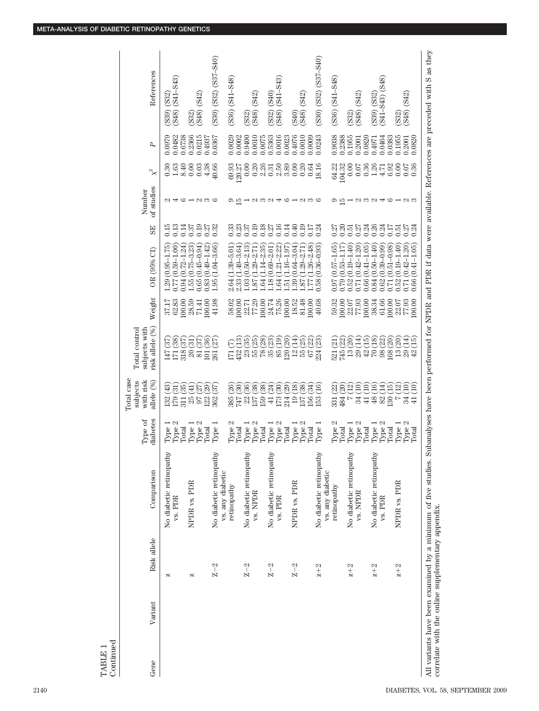| Type 1<br>Type 2<br>Total<br>Type 2<br>Type 2<br>Type 1<br>Type 1<br>No diabetic retinopathy<br>vs. PDR                                                                                                                                                                                                                                                                                                                                                                                                                                                                                  |
|------------------------------------------------------------------------------------------------------------------------------------------------------------------------------------------------------------------------------------------------------------------------------------------------------------------------------------------------------------------------------------------------------------------------------------------------------------------------------------------------------------------------------------------------------------------------------------------|
| NPDR vs. PDR                                                                                                                                                                                                                                                                                                                                                                                                                                                                                                                                                                             |
|                                                                                                                                                                                                                                                                                                                                                                                                                                                                                                                                                                                          |
| No diabetic retinopathy<br>vs. any diabetic                                                                                                                                                                                                                                                                                                                                                                                                                                                                                                                                              |
| $\begin{array}{l} {\rm Type~2}\\ {\rm Type~1}\\ {\rm Type~1}\\ {\rm Type~1}\\ {\rm Type~2}\\ {\rm Type~2}\\ {\rm Type~2}\\ {\rm Type~2}\\ {\rm Type~2}\\ {\rm Type~2}\\ {\rm Type~2}\\ {\rm Type~2}\\ {\rm Type~2}\\ {\rm Type~1}\\ {\rm Type~1}\\ {\rm Type~1}\\ {\rm Type~1}\\ {\rm Type~1}\\ {\rm Type~1}\\ {\rm Type~1}\\ {\rm Type~1}\\ {\rm Type~1}\\ {\rm Type~1}\\ {\rm Type~1}\\ {\rm Type~1}\\ {\rm Type~1}\\ {\rm Type~1}\\ {\rm Type~1}\\ {\rm Type~1}\\ {\rm Type~1}\\ {\rm Type~1}\\ {\rm Type~1}\\ {\rm Type~1}\\ {\rm Type~1}\\ {\rm Type~1}\\ {\rm Type$<br>retinopathy |
| No diabetic retinopathy                                                                                                                                                                                                                                                                                                                                                                                                                                                                                                                                                                  |
| vs. NPDR                                                                                                                                                                                                                                                                                                                                                                                                                                                                                                                                                                                 |
|                                                                                                                                                                                                                                                                                                                                                                                                                                                                                                                                                                                          |
| No diabetic retinopathy<br>vs. PDR                                                                                                                                                                                                                                                                                                                                                                                                                                                                                                                                                       |
|                                                                                                                                                                                                                                                                                                                                                                                                                                                                                                                                                                                          |
| NPDR vs. PDR                                                                                                                                                                                                                                                                                                                                                                                                                                                                                                                                                                             |
|                                                                                                                                                                                                                                                                                                                                                                                                                                                                                                                                                                                          |
| No diabetic retinopathy                                                                                                                                                                                                                                                                                                                                                                                                                                                                                                                                                                  |
| vs. any diabetic                                                                                                                                                                                                                                                                                                                                                                                                                                                                                                                                                                         |
| $\begin{array}{l} {\rm Type~2}\\ {\rm Type~1}\\ {\rm Type~1}\\ {\rm Type~1}\\ {\rm Type~1}\\ {\rm Type~2}\\ {\rm Type~2}\\ {\rm Type~2}\\ {\rm Type~2}\\ {\rm Type~2}\\ {\rm Type~2}\\ {\rm Type~2}\\ {\rm Type~2}\\ {\rm P1} \end{array}$<br>retinopathy                                                                                                                                                                                                                                                                                                                                |
| No diabetic retinopathy                                                                                                                                                                                                                                                                                                                                                                                                                                                                                                                                                                  |
| vs. NPDR                                                                                                                                                                                                                                                                                                                                                                                                                                                                                                                                                                                 |
| No diabetic retinopathy                                                                                                                                                                                                                                                                                                                                                                                                                                                                                                                                                                  |
| vs. PDR                                                                                                                                                                                                                                                                                                                                                                                                                                                                                                                                                                                  |
|                                                                                                                                                                                                                                                                                                                                                                                                                                                                                                                                                                                          |
| NPDR vs. PDR                                                                                                                                                                                                                                                                                                                                                                                                                                                                                                                                                                             |
|                                                                                                                                                                                                                                                                                                                                                                                                                                                                                                                                                                                          |

All variants have been examined by a minimum of five studies. Subanalyses have been performed for NPDR and PDR if data were available. References are preceded with S as they All variants have been examined by a minimum of correlate with the online supplementary appendix. correlate with the online supplementary appendix.

TABLE 1 Continued

 $\begin{array}{c} \text{TABLE 1} \\ \text{Continued} \end{array}$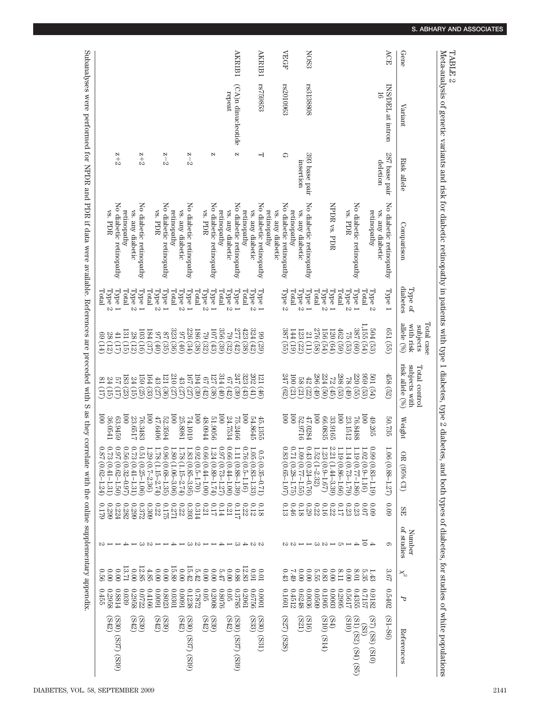| Meta-analysis of genetic variants and risk for diabetic retinopathy in patients with type 1 diabetes, type 2 diabetes, and both types of diabetes, the sensiles of white populations |                         |                           |                                             |                                      |                                                   |                                                   |                                                   |                                                                                         |                                                       |                      |          |          |
|--------------------------------------------------------------------------------------------------------------------------------------------------------------------------------------|-------------------------|---------------------------|---------------------------------------------|--------------------------------------|---------------------------------------------------|---------------------------------------------------|---------------------------------------------------|-----------------------------------------------------------------------------------------|-------------------------------------------------------|----------------------|----------|----------|
| Gene                                                                                                                                                                                 | Variant                 | Risk allele               | Comparison                                  | diabetes<br>Type of                  | Total case<br>allele (%)<br>with risk<br>subjects | risk allele (%)<br>subjects with<br>Total control | Weight                                            | DB (95% CL)                                                                             | ЯE                                                    | of studies<br>Number | ℵ        |          |
| ACE                                                                                                                                                                                  | INS/DEL at intron<br>16 | 287 base pair<br>deletion | No diabetic retinopathy<br>vs. any diabetic | Type 1                               | (651)(55)                                         | 458 (52)                                          | 50.735                                            | 1.06 (0.88-1.27)                                                                        | 600                                                   | G                    | 3.67     | 0.5402   |
|                                                                                                                                                                                      |                         |                           | retinopathy                                 | Type<br>$\mathcal{L}$                | F0G                                               | <b>LO<sub>3</sub></b>                             | 49.265                                            | $0.99(0.83 - 1.19)$                                                                     | 60.09                                                 |                      | 1.43     | 0.9182   |
|                                                                                                                                                                                      |                         |                           |                                             | Total                                | 1,155<br>eg<br>Ga                                 | 699                                               | 001                                               | $1.02(0.9-1.16)$                                                                        | 0.07                                                  | $rac{4}{5}$          | 5.35     | 7617.0   |
|                                                                                                                                                                                      |                         |                           | No diabetic retinopathy                     | Type 1                               | 387<br>(00)                                       | 95278824<br>226824<br>$\widehat{g}$               | 76.8488                                           | 19 (0.77-1.86)                                                                          | 0.23                                                  | $\rightarrow$        | 10'8     | 0.4355   |
|                                                                                                                                                                                      |                         |                           | vs. PDR                                     | Type<br>$\mathcal{C}$                | $\mathbb{S}^1$                                    |                                                   | 23.1512                                           | $14(0.73 - 1.79)$                                                                       | $0.23$                                                |                      | 0.00     | 7199.0   |
|                                                                                                                                                                                      |                         |                           |                                             | Total                                | $462\,$<br>69)<br>(69)                            | (49)                                              | $\overline{001}$                                  | ۳.<br>19 (0.86-1.66)                                                                    | 0.17                                                  | ------------         | 8.11     | 0.2995   |
|                                                                                                                                                                                      |                         |                           | NPDR vs. PDR                                | Type                                 |                                                   | $(f_1)$                                           | 33.9165                                           | Ņ,<br>21 (1.44–3.39)                                                                    | 0.22                                                  |                      | 0.00     | 0.0003   |
|                                                                                                                                                                                      |                         |                           |                                             | $\rm Type~2$                         |                                                   | (90)                                              | 66.0835                                           | 1.23<br>$(0.9 - 1.67)$                                                                  | 0.16                                                  |                      | $0.83\,$ | 0.1905   |
|                                                                                                                                                                                      |                         |                           |                                             | Total                                |                                                   |                                                   | $\overline{001}$                                  | $1.52$<br>$(1-2.32)$                                                                    | $0.22$                                                |                      | 5.55     | 60900    |
| <b>NOS3</b>                                                                                                                                                                          | rs3138808               | 393 base pair             | No diabetic retinopathy                     | Type                                 |                                                   | $\frac{296}{48}$                                  | 47.0284                                           | $0.43(0.24 - 0.76)$                                                                     | 630                                                   |                      | 0.00     | 0.0036   |
|                                                                                                                                                                                      |                         | msertion                  | vs. any diabetic                            | Type<br>$\mathcal{C}$                |                                                   |                                                   | 52.9716                                           | 1.09 (0.77-1.55)                                                                        | 0.18                                                  |                      | 0.00     | 0.6248   |
|                                                                                                                                                                                      |                         |                           | retinopathy                                 | Total                                | $\frac{144}{387}$                                 | $\overline{0}0$<br>399398.<br>39939               | $\overline{001}$                                  | $71(0.28 - 1.75)$                                                                       | 0.46                                                  |                      | 67.7     | 0.4512   |
| <b>NEGF</b>                                                                                                                                                                          | rs2010963               | ₽                         | No diabetic retinopathy                     | $\rm Type~2$                         |                                                   | 247                                               | $\overline{001}$                                  | 0,<br>83<br>$(0.65 - 1.07)$                                                             |                                                       |                      |          | 0.1601   |
|                                                                                                                                                                                      |                         |                           | retinopathy<br>vs. any diabetic             |                                      |                                                   |                                                   |                                                   |                                                                                         |                                                       |                      |          |          |
| AKR1B1                                                                                                                                                                               | rs759853                | ー                         | No diabetic retinopathy                     | Type 1                               |                                                   |                                                   | 45.1355                                           | 6.5<br>$(0.35 - 0.71)$                                                                  | 81.0                                                  |                      | 10.01    | 10000    |
|                                                                                                                                                                                      |                         |                           | vs. any diabetic                            | $\ensuremath{\text{Type}\,2}\xspace$ | <b>334355656585365365</b><br>3383<br>2383         | 12023461261<br>2023461262<br>(40)                 | 54.8645                                           | $1.05\,$<br>$(0.83 - 1.33)$                                                             | $0.12\,$                                              | しょうしーキーらきろう          | 160      | 0.6756   |
|                                                                                                                                                                                      |                         |                           | retinopathy                                 | Total                                |                                                   | (43)                                              | $\overline{001}$                                  | $0.76(0.5 - 1.16)$                                                                      | $0.22$                                                |                      | 12.83    | 0.2061   |
| <b>AKRIBI</b>                                                                                                                                                                        | (CA)n dinucleotide      | N                         | No diabetic retinopathy                     | Type                                 |                                                   | <b>39</b>                                         | 75.2466                                           | 1.11 (0.88-1.39)                                                                        | 711.0                                                 |                      | 880      | 0.3785   |
|                                                                                                                                                                                      | repeat                  |                           | vs. any diabetic                            | $T_{\text{YPC}}$<br>$\mathcal{L}$    |                                                   | (42)                                              | 24.7534                                           | $0.66(0.44 - 1.00)$                                                                     | $0.21\,$                                              |                      | 0.00     | 0.05     |
|                                                                                                                                                                                      |                         |                           | retinopathy                                 | Total                                |                                                   |                                                   | $\overline{0}0$                                   | $\sqrt{26}$ 0<br>$(0.73 - 1.27)$                                                        | 0.14                                                  |                      | 5.47     | 0.8076   |
|                                                                                                                                                                                      |                         | Z                         | No diabetic retinopathy                     | Type                                 |                                                   | $\begin{matrix} 40 \\ 38 \end{matrix}$            | 990619                                            | $1.24(0.89 - 1.74)$                                                                     | 0.17                                                  |                      | 0.00     | 0.2008   |
|                                                                                                                                                                                      |                         |                           | vs. PDR                                     | Type<br>$\mathcal{C}$                |                                                   |                                                   | 48.0944                                           | $0.66(0.44-1.00)$                                                                       | $0.21\,$                                              |                      | 0.00     | $0.05\,$ |
|                                                                                                                                                                                      |                         |                           |                                             | Total                                |                                                   | (38)                                              | $\overline{001}$                                  | $0.92(0.5 - 1.70)$                                                                      | 0.314                                                 |                      | 5.42     | 0.7872   |
|                                                                                                                                                                                      |                         | $z-2$                     | No diabetic retinopathy                     | Type 1                               |                                                   | 191                                               | 74.1019                                           | $1.83\,$<br>$(0.85 - 3.95)$                                                             | 6.393                                                 |                      | 15.42    | 0.1238   |
|                                                                                                                                                                                      |                         |                           | vs. any diabetic                            | Type<br>$\mathcal{C}$                |                                                   | $43\atop 210$<br>35<br>22                         | 25.8981                                           | 1.78<br>$(1.15 - 2.74)$                                                                 |                                                       |                      | 0.00     | 16000    |
|                                                                                                                                                                                      |                         |                           | retinopathy                                 | Total                                |                                                   | (25)                                              | $\overline{001}$                                  | $1.80(1.06-3.06)$                                                                       |                                                       |                      | 15.89    | 0.0301   |
|                                                                                                                                                                                      |                         | $z-2$                     | No diabetic retinopathy                     | Type                                 | 8998889889                                        | 121<br>(36)                                       | 52.3594                                           | $0.96(0.68 - 1.35)$                                                                     | $\begin{array}{c} 0.22 \\ 0.271 \\ 0.175 \end{array}$ |                      | 0.00     | 0.8023   |
|                                                                                                                                                                                      |                         |                           | vs. PDR                                     | Type<br>$\mathcal{L}$                |                                                   | $43$                                              | 47.6406                                           | 82.1<br>$(1.15 - 2.74)$                                                                 | $0.22$                                                |                      | 0.00     | 16000    |
|                                                                                                                                                                                      |                         |                           |                                             | Total                                | 36)                                               | 164<br>32)<br>33)                                 | $\overline{001}$                                  | 1.29 (0.7-2.36)                                                                         | 6030                                                  |                      | 4.85     | 0.4166   |
|                                                                                                                                                                                      |                         | $2 + 2$                   | No diabetic retinopathy                     | $1\rm{Mpc}$                          | 103<br>$\left(\frac{16}{12}\right)$               | (55)                                              |                                                   | $\frac{1}{2}$<br>51 (0.25-1.06)                                                         | 0.372                                                 |                      | 12.85    | 0.0722   |
|                                                                                                                                                                                      |                         |                           | vs. any diabetic                            | $\rm Type~2$                         | 88                                                | $159$<br>.<br>(g)                                 | $\begin{array}{c} 76.3483 \\ 23.6517 \end{array}$ | $0.73(0.41 - 1.31)$                                                                     | 6670                                                  |                      | 0.00     | 0.2958   |
|                                                                                                                                                                                      |                         |                           | retinopathy                                 | Total                                | 131                                               | 183<br>(23)                                       | $\overline{0}$                                    | $\sum_{i=1}^{n}$<br>56 (0.32-0.97)                                                      | 0.282                                                 |                      | 13.71    | 0.039    |
|                                                                                                                                                                                      |                         | $2 + 2$                   | No diabetic retinopathy                     | Type                                 | $\pm$<br>39                                       | $\overline{5}$<br>Ξ.                              | 63.9459                                           | $\sqrt{26.0}$<br>$(0.62 - 1.50)$                                                        | 0.224                                                 |                      | 0.00     | 0.8814   |
|                                                                                                                                                                                      |                         |                           | vs. PDR                                     | <b>Type</b><br>$\mathcal{O}$         | 88<br>$\left(12\right)$                           |                                                   | 1790'98                                           |                                                                                         | 6670                                                  |                      | 0.00     | 0.2958   |
|                                                                                                                                                                                      |                         |                           |                                             | Total                                | 69<br>(14)                                        | $\frac{24(15)}{81(17)}$                           | $\overline{100}$                                  | $\begin{array}{c} 0.73 \ (0.41\text{--}1.31) \\ 0.87 \ (0.62\text{--}1.24) \end{array}$ | 621.0                                                 |                      | 950      | 0.455    |

TABLE 2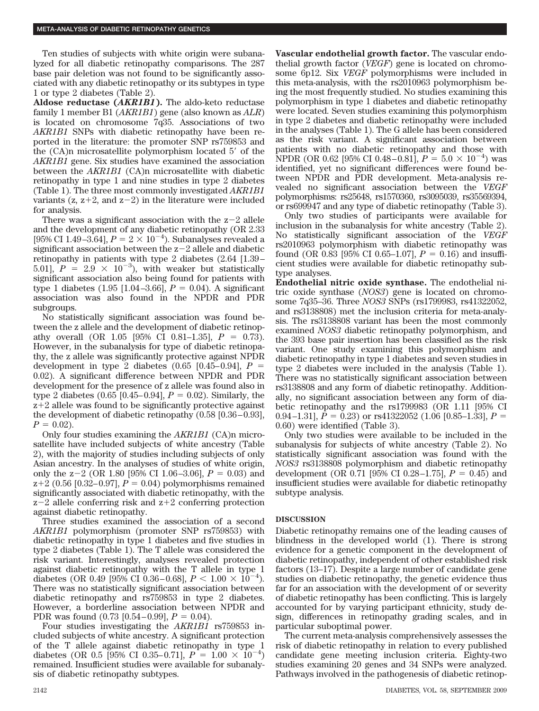Ten studies of subjects with white origin were subanalyzed for all diabetic retinopathy comparisons. The 287 base pair deletion was not found to be significantly associated with any diabetic retinopathy or its subtypes in type 1 or type 2 diabetes (Table 2).

**Aldose reductase (***AKR1B1***).** The aldo-keto reductase family 1 member B1 (*AKR1B1*) gene (also known as *ALR*) is located on chromosome 7q35. Associations of two *AKR1B1* SNPs with diabetic retinopathy have been reported in the literature: the promoter SNP rs759853 and the  $(CA)$ n microsatellite polymorphism located  $5'$  of the *AKR1B1* gene. Six studies have examined the association between the *AKR1B1* (CA)n microsatellite with diabetic retinopathy in type 1 and nine studies in type 2 diabetes (Table 1). The three most commonly investigated *AKR1B1* variants (z,  $z+2$ , and  $z-2$ ) in the literature were included for analysis.

There was a significant association with the  $z-2$  allele and the development of any diabetic retinopathy (OR 2.33 [95% CI 1.49-3.64],  $P = 2 \times 10^{-4}$ . Subanalyses revealed a significant association between the  $z-2$  allele and diabetic retinopathy in patients with type 2 diabetes (2.64 [1.39 – 5.01],  $P = 2.9 \times 10^{-3}$ , with weaker but statistically significant association also being found for patients with type 1 diabetes  $(1.95 \,[1.04-3.66], P = 0.04)$ . A significant association was also found in the NPDR and PDR subgroups.

No statistically significant association was found between the z allele and the development of diabetic retinopathy overall (OR  $1.05$  [95% CI 0.81–1.35],  $P = 0.73$ ). However, in the subanalysis for type of diabetic retinopathy, the z allele was significantly protective against NPDR development in type 2 diabetes  $(0.65 \; [0.45-0.94], P =$ 0.02). A significant difference between NPDR and PDR development for the presence of z allele was found also in type 2 diabetes  $(0.65 \; [0.45-0.94], P = 0.02)$ . Similarly, the  $z+2$  allele was found to be significantly protective against the development of diabetic retinopathy  $(0.58 \, [0.36 - 0.93]$ ,  $P = 0.02$ ).

Only four studies examining the *AKR1B1* (CA)n microsatellite have included subjects of white ancestry (Table 2), with the majority of studies including subjects of only Asian ancestry. In the analyses of studies of white origin, only the  $z-2$  (OR 1.80 [95% CI 1.06–3.06],  $P = 0.03$ ) and  $z+2$  (0.56 [0.32–0.97],  $P = 0.04$ ) polymorphisms remained significantly associated with diabetic retinopathy, with the  $z-2$  allele conferring risk and  $z+2$  conferring protection against diabetic retinopathy.

Three studies examined the association of a second *AKR1B1* polymorphism (promoter SNP rs759853) with diabetic retinopathy in type 1 diabetes and five studies in type 2 diabetes (Table 1). The T allele was considered the risk variant. Interestingly, analyses revealed protection against diabetic retinopathy with the T allele in type 1 diabetes (OR 0.49 [95% CI 0.36 – 0.68],  $P < 1.00 \times 10^{-4}$ ). There was no statistically significant association between diabetic retinopathy and rs759853 in type 2 diabetes. However, a borderline association between NPDR and PDR was found  $(0.73 \; [0.54 - 0.99], P = 0.04)$ .

Four studies investigating the *AKR1B1* rs759853 included subjects of white ancestry. A significant protection of the T allele against diabetic retinopathy in type 1 diabetes (OR 0.5 [95% CI 0.35–0.71],  $P = 1.00 \times 10^{-4}$ ) remained. Insufficient studies were available for subanalysis of diabetic retinopathy subtypes.

**Vascular endothelial growth factor.** The vascular endothelial growth factor (*VEGF*) gene is located on chromosome 6p12. Six *VEGF* polymorphisms were included in this meta-analysis, with the rs2010963 polymorphism being the most frequently studied. No studies examining this polymorphism in type 1 diabetes and diabetic retinopathy were located. Seven studies examining this polymorphism in type 2 diabetes and diabetic retinopathy were included in the analyses (Table 1). The G allele has been considered as the risk variant. A significant association between patients with no diabetic retinopathy and those with NPDR (OR 0.62 [95% CI 0.48–0.81],  $P = 5.0 \times 10^{-4}$ ) was identified, yet no significant differences were found between NPDR and PDR development. Meta-analysis revealed no significant association between the *VEGF* polymorphisms: rs25648, rs1570360, rs3095039, rs35569394, or rs699947 and any type of diabetic retinopathy (Table 3).

Only two studies of participants were available for inclusion in the subanalysis for white ancestry (Table 2). No statistically significant association of the *VEGF* rs2010963 polymorphism with diabetic retinopathy was found (OR 0.83 [95% CI 0.65–1.07],  $P = 0.16$ ) and insufficient studies were available for diabetic retinopathy subtype analyses.

**Endothelial nitric oxide synthase.** The endothelial nitric oxide synthase (*NOS3*) gene is located on chromosome 7q35–36. Three *NOS3* SNPs (rs1799983, rs41322052, and rs3138808) met the inclusion criteria for meta-analysis. The rs3138808 variant has been the most commonly examined *NOS3* diabetic retinopathy polymorphism, and the 393 base pair insertion has been classified as the risk variant. One study examining this polymorphism and diabetic retinopathy in type 1 diabetes and seven studies in type 2 diabetes were included in the analysis (Table 1). There was no statistically significant association between rs3138808 and any form of diabetic retinopathy. Additionally, no significant association between any form of diabetic retinopathy and the rs1799983 (OR 1.11 [95% CI 0.94–1.31],  $P = 0.23$  or rs41322052 (1.06 [0.85–1.33],  $P =$ 0.60) were identified (Table 3).

Only two studies were available to be included in the subanalysis for subjects of white ancestry (Table 2). No statistically significant association was found with the *NOS3* rs3138808 polymorphism and diabetic retinopathy development (OR 0.71 [95% CI 0.28–1.75],  $P = 0.45$ ) and insufficient studies were available for diabetic retinopathy subtype analysis.

# **DISCUSSION**

Diabetic retinopathy remains one of the leading causes of blindness in the developed world (1). There is strong evidence for a genetic component in the development of diabetic retinopathy, independent of other established risk factors (13–17). Despite a large number of candidate gene studies on diabetic retinopathy, the genetic evidence thus far for an association with the development of or severity of diabetic retinopathy has been conflicting. This is largely accounted for by varying participant ethnicity, study design, differences in retinopathy grading scales, and in particular suboptimal power.

The current meta-analysis comprehensively assesses the risk of diabetic retinopathy in relation to every published candidate gene meeting inclusion criteria. Eighty-two studies examining 20 genes and 34 SNPs were analyzed. Pathways involved in the pathogenesis of diabetic retinop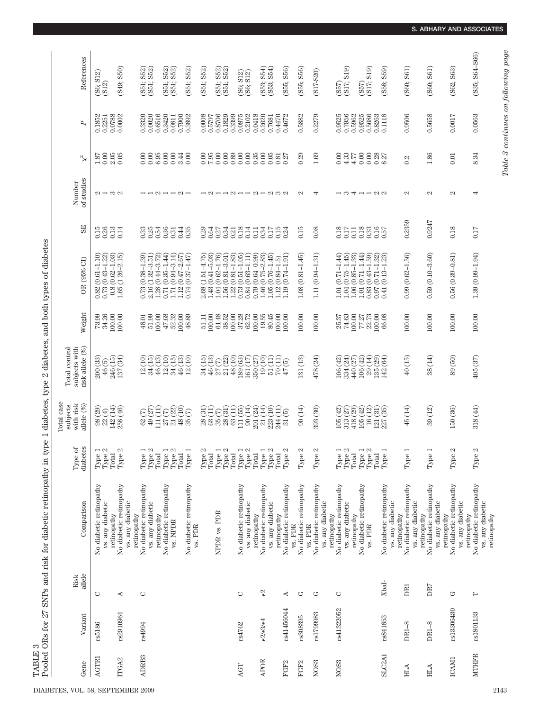TABLE 3

|                                                         | $\mathrm{Risk}$ |                                             | Type of<br>diabetes                                                                                            | Total case<br>with risk<br>subjects                                                                                                                                                                                                                                                                                                                            | subjects with<br>Total control                                         |                                                                  |                                                                                                                                    |                     | Number                                                                                                                                    |                         |                  |                              |
|---------------------------------------------------------|-----------------|---------------------------------------------|----------------------------------------------------------------------------------------------------------------|----------------------------------------------------------------------------------------------------------------------------------------------------------------------------------------------------------------------------------------------------------------------------------------------------------------------------------------------------------------|------------------------------------------------------------------------|------------------------------------------------------------------|------------------------------------------------------------------------------------------------------------------------------------|---------------------|-------------------------------------------------------------------------------------------------------------------------------------------|-------------------------|------------------|------------------------------|
| Variant<br>Gene                                         | allele          | Comparison                                  |                                                                                                                | allele (%)                                                                                                                                                                                                                                                                                                                                                     | risk allele (%)                                                        | Weight                                                           | OR (95% CI)                                                                                                                        | SE <sub></sub>      | of studies                                                                                                                                | $\mathbb{\mathsf{X}}^2$ | P                | References                   |
| rs5186<br>AGTRI                                         | O               | No diabetic retinopathy<br>vs. any diabetic | $\overline{\phantom{a}}$ $\overline{\phantom{a}}$<br>${\rm Type}$                                              | $\begin{array}{c} 98\ (29) \\ 22\ (4) \\ 142\ (14) \end{array}$                                                                                                                                                                                                                                                                                                | $\begin{array}{c} 200 \; (33) \\ 46 \; (5) \\ 246 \; (15) \end{array}$ | $73.99$<br>$34.26$                                               | $\begin{array}{c} 0.82 \ (0.61\!-\!1.10) \\ 0.73 \ (0.43\!-\!1.22) \\ 0.8 \ (0.62\!-\!1.03) \\ 1.65 \ (1.26\!-\!2.15) \end{array}$ | 0.26<br>0.15        | $\alpha - \infty$                                                                                                                         | $\frac{1.87}{0.06}$     | 0.1852<br>0.2251 | $(56; 512)$<br>$(512)$       |
|                                                         |                 | retinopathy                                 | Type<br>Total                                                                                                  |                                                                                                                                                                                                                                                                                                                                                                |                                                                        | 100.00                                                           |                                                                                                                                    | 0.13                |                                                                                                                                           |                         | 0.0788           |                              |
| rs2910964<br>ITGA2                                      | 4               | No diabetic retinopathy<br>vs. any diabetic | N<br>Type                                                                                                      | 258 (46)                                                                                                                                                                                                                                                                                                                                                       | 137 (34)                                                               | 100.00                                                           |                                                                                                                                    | 0.14                |                                                                                                                                           |                         | 0.0002           | (S49; S50)                   |
|                                                         |                 | retinopathy                                 |                                                                                                                |                                                                                                                                                                                                                                                                                                                                                                |                                                                        |                                                                  |                                                                                                                                    |                     |                                                                                                                                           |                         |                  |                              |
| rs4994<br>ADRB3                                         | O               | No diabetic retinopathy<br>vs. any diabetic | $\frac{1}{2}$<br>$\begin{array}{l} {\rm Type}\\ {\rm Type}\end{array}$                                         |                                                                                                                                                                                                                                                                                                                                                                | $\widehat{\Xi}$<br>24                                                  | $\frac{48.01}{51.99}$                                            | $\begin{array}{c} 0.73\ (0.38\text{--}1.39) \\ 2.16\ (1.32\text{--}3.51) \end{array}$                                              | $0.33$<br>$0.25$    |                                                                                                                                           | 0.00<br>$_{0.00}$       | 0.0020<br>0.3320 | S52)<br>S52)<br>(351)        |
|                                                         |                 | retinopathy                                 | Total                                                                                                          |                                                                                                                                                                                                                                                                                                                                                                |                                                                        |                                                                  |                                                                                                                                    | 0.54                |                                                                                                                                           | 6.95                    | 0.6516           |                              |
|                                                         |                 |                                             |                                                                                                                |                                                                                                                                                                                                                                                                                                                                                                |                                                                        | $\begin{array}{c} 100.00 \\ 47.68 \\ 52.32 \end{array}$          | $\begin{array}{c} 1.28\ (0.44\text{--}3.72) \\ 0.71\ (0.35\text{--}1.44) \\ 1.71\ (0.94\text{--}3.14) \end{array}$                 |                     |                                                                                                                                           |                         | 0.3420           |                              |
|                                                         |                 | No diabetic retinopathy<br>vs. NPDR         | Type 1<br>Type 2<br>Type                                                                                       | 8216236<br>6216236<br>63415238                                                                                                                                                                                                                                                                                                                                 | (3)<br>1909<br>493492                                                  |                                                                  | $(0.94 - 3.14)$                                                                                                                    | $\frac{0.36}{0.31}$ | $\mathop{\sim}\limits^{\sim}\mathop{\rightarrow}\mathop{\sim}\limits^{\sim}\mathop{\sim}\limits^{\sim}\mathop{\rightarrow}\limits^{\sim}$ | $0.848$<br>$0.848$      | 0.0811           | S52)<br>S52)<br>(551; 100)   |
|                                                         |                 |                                             | Total                                                                                                          |                                                                                                                                                                                                                                                                                                                                                                |                                                                        | 100.00                                                           | $(0.47 - 2.67)$<br>$(0.37 - 1.47)$<br>$1.12$<br>$0.74$                                                                             | 0.44                |                                                                                                                                           |                         | 0.7900           |                              |
|                                                         |                 | No diabetic retinopathy<br>vs. PDR          | $\overline{\phantom{0}}$<br>$_{\rm Type}$                                                                      |                                                                                                                                                                                                                                                                                                                                                                |                                                                        | 48.89                                                            |                                                                                                                                    | 0.35                |                                                                                                                                           |                         | 0.3892           | S51; S52)                    |
|                                                         |                 |                                             | N<br>${\rm Type}$                                                                                              |                                                                                                                                                                                                                                                                                                                                                                |                                                                        | 51.11                                                            |                                                                                                                                    |                     |                                                                                                                                           |                         | 0.0008           | (S51; S52)                   |
|                                                         |                 |                                             | Total                                                                                                          | $\widehat{a}$ <sub>3</sub>                                                                                                                                                                                                                                                                                                                                     | 34 (15)<br>46 (13)                                                     | 100.00                                                           | $(1.51 - 4.75)$<br>$(0.41 - 5.03)$<br>$2.68$<br>$1.43$                                                                             | $0.29$<br>$0.64$    | $\overline{z}$                                                                                                                            | 0.00                    | 0.5797           |                              |
|                                                         |                 | NPDR vs. PDR                                | $\overline{\phantom{a}}$ $\overline{\phantom{a}}$<br>$\begin{array}{ll} {\bf Type}\\ {\bf Type}\\ \end{array}$ | 88888                                                                                                                                                                                                                                                                                                                                                          | $27(22)$<br>$21(22)$<br>$48(10)$<br>$\frac{27}{21}$                    | 61.48                                                            | $(0.62 - 1.76)$<br>$1.58$<br>$1.58$<br>$0.78$                                                                                      |                     |                                                                                                                                           | $0.00$                  | 0.8706           | $(551; 552)$<br>$(551; 552)$ |
|                                                         |                 |                                             |                                                                                                                |                                                                                                                                                                                                                                                                                                                                                                |                                                                        | $\begin{array}{c} 38.52 \\ 100.00 \\ 37.28 \end{array}$          | $(0.81 - 3.01)$<br>$(0.81 - 1.83)$                                                                                                 |                     |                                                                                                                                           |                         | 0.1829           |                              |
|                                                         |                 |                                             | Total                                                                                                          |                                                                                                                                                                                                                                                                                                                                                                |                                                                        |                                                                  |                                                                                                                                    |                     |                                                                                                                                           |                         | 0.3399           |                              |
| rs4762<br>AGT                                           | $\circ$         | No diabetic retinopathy<br>vs. any diabetic | $\begin{array}{c} {\rm Type\ 1}\\ {\rm Type\ 2}\\ {\rm Total}\end{array}$                                      | $\begin{array}{ll} \mbox{1.5cm} & \mbox{1.5cm} \\ \mbox{1.5cm} & \mbox{1.5cm} \\ \mbox{1.5cm} & \mbox{1.5cm} \\ \mbox{1.5cm} & \mbox{1.5cm} \\ \mbox{1.5cm} & \mbox{1.5cm} \\ \mbox{1.5cm} & \mbox{1.5cm} \\ \mbox{1.5cm} & \mbox{1.5cm} \\ \mbox{1.5cm} & \mbox{1.5cm} \\ \mbox{1.5cm} & \mbox{1.5cm} \\ \mbox{1.5cm} & \mbox{1.5cm} \\ \mbox{1.5cm} & \mbox$ | 189 (63)                                                               | $62.72$                                                          | $(0.51 - 1.05)$                                                                                                                    | 0331331             |                                                                                                                                           | $0.00\,$                | 0.0875<br>0.2102 | $(36; 512)$<br>$(36; 512)$   |
|                                                         |                 | retinopathy                                 |                                                                                                                |                                                                                                                                                                                                                                                                                                                                                                |                                                                        | 100.00                                                           | $\begin{array}{c} 0.84 \ (0.63\text{--}1.11) \\ 0.79 \ (0.64\text{--}0.99) \end{array}$                                            | 0.11                |                                                                                                                                           |                         | 0.0418           |                              |
| $\epsilon$ 2/ $\epsilon$ 3/ $\epsilon$ 4<br><b>APOE</b> | ್ನಿ             | No diabetic retinopathy<br>vs. any diabetic | $\begin{array}{c} {\rm Type\ 1}\\ {\rm Type\ 2}\\ {\rm Total}\end{array}$                                      |                                                                                                                                                                                                                                                                                                                                                                | $\begin{array}{l} 161\,(17)\\ 350\,(27)\\ 19\,(10)\\ \end{array}$      | 19.55                                                            | $(0.75 - 2.83)$<br>1.46                                                                                                            | 0.34                |                                                                                                                                           | 0.35                    | 0.2620           | $(553; 554)$<br>$(553; 554)$ |
|                                                         |                 |                                             |                                                                                                                |                                                                                                                                                                                                                                                                                                                                                                | $\frac{1}{20}$                                                         | 80.45                                                            | $(0.76 - 1.45)$<br>1.05                                                                                                            | 0.17                |                                                                                                                                           | 0.05                    | 0.7681           |                              |
| rs41456044<br>FGF <sub>2</sub>                          | 4               | No diabetic retinopathy<br>retinopathy      | Z<br>${\rm Type}$                                                                                              | $\circledcirc$<br>51                                                                                                                                                                                                                                                                                                                                           | $\odot$<br>ĻЬ                                                          | 100.00<br>100.00                                                 | $(0.74 - 1.91)$<br>$(0.84 - 1.5)$<br>1.12<br>1.19                                                                                  | 0.15<br>0.24        | $H = 0H = 0H$                                                                                                                             | 0.81<br>0.27            | 0.4470<br>0.4672 | (S55; S56)                   |
|                                                         |                 | vs. PDR                                     |                                                                                                                |                                                                                                                                                                                                                                                                                                                                                                |                                                                        |                                                                  |                                                                                                                                    |                     |                                                                                                                                           |                         |                  |                              |
| rs308395<br>FGF <sub>2</sub>                            | ڻ               | No diabetic retinopathy                     | $\mathcal{C}$<br>$\mathbbmss{C}$<br>Tур                                                                        | 90(14)                                                                                                                                                                                                                                                                                                                                                         | 131 (13)                                                               | 100.00                                                           | $1.08(0.81 - 1.45)$                                                                                                                | 0.15                | $\sim$                                                                                                                                    | 0.29                    | 0.5882           | (S55; S56)                   |
| rs1799983<br>NO <sub>S3</sub>                           | ゥ               | No diabetic retinopathy<br>vs. PDR          | Z<br>$\mathbb Q$<br>Typ                                                                                        | 393 (30)                                                                                                                                                                                                                                                                                                                                                       | 478 (24)                                                               | 100.00                                                           | $1.11(0.94 - 1.31)$                                                                                                                | 0.08                | 4                                                                                                                                         | 1.69                    | 0.2279           | $(S17- S20)$                 |
|                                                         |                 | vs. any diabetic                            |                                                                                                                |                                                                                                                                                                                                                                                                                                                                                                |                                                                        |                                                                  |                                                                                                                                    |                     |                                                                                                                                           |                         |                  |                              |
|                                                         | O               | retinopathy                                 |                                                                                                                |                                                                                                                                                                                                                                                                                                                                                                |                                                                        |                                                                  |                                                                                                                                    |                     |                                                                                                                                           |                         |                  |                              |
| rs41322052<br>NO <sub>S3</sub>                          |                 | No diabetic retinopathy<br>vs. any diabetic | $\frac{1}{2}$<br>$\begin{array}{l} {\rm Type}\\ {\rm Type}\end{array}$                                         | $\begin{array}{c} 105\ (42) \\ 313\ (27) \\ 418\ (29) \end{array}$                                                                                                                                                                                                                                                                                             | $\frac{106 (42)}{334 (24)}$                                            | $\frac{25.37}{74.63}$                                            | $1.01(0.71 - 1.44)$<br>$1.04(0.75 - 1.45)$                                                                                         | $0.18$<br>0.17      | $\rightarrow$ $\infty$                                                                                                                    | 0.00<br>4.33            | 0.7956<br>0.9525 | $(357)$<br>$(317; 519)$      |
|                                                         |                 | retinopathy                                 | Total                                                                                                          |                                                                                                                                                                                                                                                                                                                                                                | 440 (27)                                                               | 100.00                                                           | $1.06(0.85 - 1.33)$                                                                                                                | $0.11\,$            |                                                                                                                                           |                         | 0.5962           |                              |
|                                                         |                 | No diabetic retinopathy                     | $\begin{array}{c} {\rm Type\ 1}\\ {\rm Type\ 2}\end{array}$                                                    | $105\atop 16$                                                                                                                                                                                                                                                                                                                                                  | 106(42)                                                                |                                                                  | $(0.71 - 1.44)$<br>$1.01\,$                                                                                                        |                     |                                                                                                                                           |                         | 0.9525           | (S57)                        |
|                                                         |                 | $vs.$ ${\rm PDR}$                           | ${\rm Type}$                                                                                                   | <u>මුවු පිමි</u>                                                                                                                                                                                                                                                                                                                                               | $\begin{array}{c} 29 \ (14) \\ 135 \ (29) \\ 142 \ (64) \end{array}$   | $\begin{array}{l} 77.27 \\ 22.73 \\ 100.00 \\ 66.08 \end{array}$ | $0.83(0.43 - 1.59)$<br>0.97                                                                                                        | 33355               | $4 - 92$                                                                                                                                  | $7,80887$<br>$4000887$  | 0.5686<br>0.8263 | (S17; S19)                   |
| rs841853<br>SLC <sub>2</sub> A <sub>1</sub>             | XbaI-           | No diabetic retinopathy                     | $\overline{\phantom{0}}$<br>Total<br>Type                                                                      | 121                                                                                                                                                                                                                                                                                                                                                            |                                                                        |                                                                  | $(0.71 - 1.32)$<br>$(0.13 - 1.23)$<br>0.41                                                                                         |                     |                                                                                                                                           |                         | 0.1118           | (S58; S59)                   |
|                                                         |                 | vs. any diabetic                            |                                                                                                                |                                                                                                                                                                                                                                                                                                                                                                |                                                                        |                                                                  |                                                                                                                                    |                     |                                                                                                                                           |                         |                  |                              |
|                                                         |                 | retinopathy                                 |                                                                                                                |                                                                                                                                                                                                                                                                                                                                                                |                                                                        |                                                                  |                                                                                                                                    |                     |                                                                                                                                           |                         |                  |                              |
| $DR1-8$<br>HLA                                          | DRI             | No diabetic retinopathy<br>vs. any diabetic | $\overline{\phantom{0}}$<br>$\ddot{\mathbf{Q}}$<br>Гyр                                                         | $\left( \begin{smallmatrix} 4 \ 1 \end{smallmatrix} \right)$<br>45                                                                                                                                                                                                                                                                                             | $\left(15\right)$<br>$\overline{40}$                                   | 100.00                                                           | $0.99(0.62 - 1.56)$                                                                                                                | 0.2359              | N                                                                                                                                         | 0.2                     | 0.9506           | (S60; S61)                   |
|                                                         |                 | retinopathy                                 |                                                                                                                |                                                                                                                                                                                                                                                                                                                                                                |                                                                        |                                                                  |                                                                                                                                    |                     |                                                                                                                                           |                         |                  |                              |
| DR1-8<br>HLA                                            | DR7             | No diabetic retinopathy                     | $\overline{\phantom{a}}$<br>$\mathbb Q$<br>Tур                                                                 | 39 (12)                                                                                                                                                                                                                                                                                                                                                        | $38\left(14\right)$                                                    | 100.00                                                           | $0.59(0.10 - 3.60)$                                                                                                                | 0.9247              | $\mathcal{L}$                                                                                                                             | 1.86                    | 0.5658           | (S60; S61)                   |
|                                                         |                 | vs. any diabetic<br>retinopathy             |                                                                                                                |                                                                                                                                                                                                                                                                                                                                                                |                                                                        |                                                                  |                                                                                                                                    |                     |                                                                                                                                           |                         |                  |                              |
| rs13306430<br><b>ICAM1</b>                              | ڻ               | No diabetic retinopathy                     | N<br>$\mathbb O$<br>Tур                                                                                        | 150 (36)                                                                                                                                                                                                                                                                                                                                                       | 89 (50)                                                                | 100.00                                                           | $0.56(0.39 - 0.81)$                                                                                                                | 0.18                | N                                                                                                                                         | 0.01                    | 0.0017           | (S62; S63)                   |
|                                                         |                 | vs. any diabetic                            |                                                                                                                |                                                                                                                                                                                                                                                                                                                                                                |                                                                        |                                                                  |                                                                                                                                    |                     |                                                                                                                                           |                         |                  |                              |
| rs1801133<br><b>MTHFR</b>                               | Н               | No diabetic retinopathy<br>retinopathy      | $\mathbb{C}^2$<br>Type                                                                                         | 318 (44)                                                                                                                                                                                                                                                                                                                                                       | 405 (37)                                                               | $100.00$                                                         | $1.39(0.99 - 1.94)$                                                                                                                | 0.17                | 4                                                                                                                                         | 8.34                    | 0.0563           | (S35; S64–S66)               |
|                                                         |                 | vs. any diabetic                            |                                                                                                                |                                                                                                                                                                                                                                                                                                                                                                |                                                                        |                                                                  |                                                                                                                                    |                     |                                                                                                                                           |                         |                  |                              |
|                                                         |                 | retinopathy                                 |                                                                                                                |                                                                                                                                                                                                                                                                                                                                                                |                                                                        |                                                                  |                                                                                                                                    |                     |                                                                                                                                           |                         |                  |                              |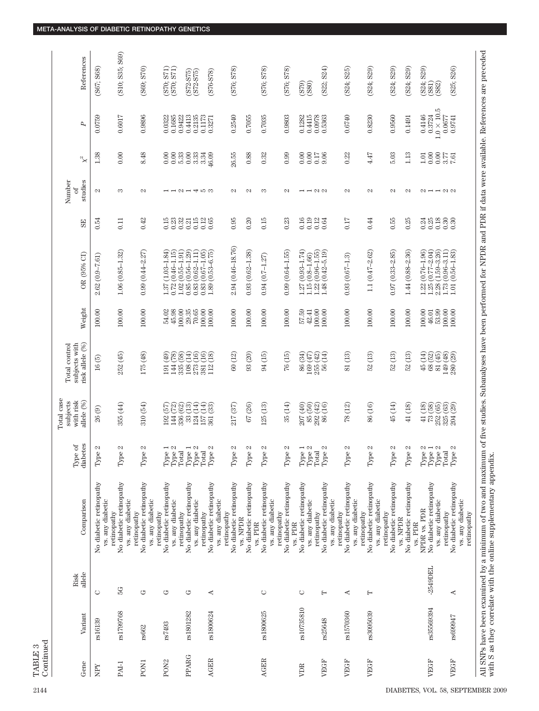| References                                                          | (S67; S68)                                  | (S10; S35; S69)                                                           | (S69; S70)                                  | $(S70; S71)$ $(S70; S71)$                                  | $(S72-S75)$<br>S72-S75)                                             | $(S76-578)$                                             | (S76; S78)                                                             |                                    | (S76; S78)                                  | (S76; S78)                                        | (S79)<br>(S80)                                                                                 | (S22; S24)                                                                              | (S24; S25)                                                 | (S24; S29)                                                 | (S24; S29)                                         | (S24; S29)                         | $\begin{array}{c} (824; \, \text{S}29) \\ (881) \\ (882) \\ \end{array}$                                          | (S25; S26)                                                 |                                                                                                                                                                                                                                                                  |
|---------------------------------------------------------------------|---------------------------------------------|---------------------------------------------------------------------------|---------------------------------------------|------------------------------------------------------------|---------------------------------------------------------------------|---------------------------------------------------------|------------------------------------------------------------------------|------------------------------------|---------------------------------------------|---------------------------------------------------|------------------------------------------------------------------------------------------------|-----------------------------------------------------------------------------------------|------------------------------------------------------------|------------------------------------------------------------|----------------------------------------------------|------------------------------------|-------------------------------------------------------------------------------------------------------------------|------------------------------------------------------------|------------------------------------------------------------------------------------------------------------------------------------------------------------------------------------------------------------------------------------------------------------------|
| P                                                                   | 0.0759                                      | 0.6017                                                                    | 0.9896                                      | 0.1685<br>0.0322                                           | 0.9422<br>0.4413<br>0.2135                                          | 0.1173<br>0.3271                                        | 0.2540                                                                 | 0.7055                             | 0.7035                                      | 0.9803                                            | 0.4415<br>0.1282                                                                               | 0.0978<br>0.5363                                                                        | 0.6740                                                     | 0.8230                                                     | 0.9560                                             | 0.1491                             | $1.0\times10.5$<br>0.4146<br>0.3724                                                                               | 0.0677<br>0.9741                                           |                                                                                                                                                                                                                                                                  |
| $\rm \gtrsim$                                                       | 1.38                                        | 0.00                                                                      | 8.48                                        | 0.00<br>0.00                                               | $\begin{array}{c} 0.00 \\ 3.33 \end{array}$<br>5.33                 | 3.34<br>46.09                                           | 26.55                                                                  | 0.88                               | 0.32                                        | 0.99                                              | $0.00\,$<br>0.00                                                                               | 0.17<br>9.06                                                                            | 0.22                                                       | 4.47                                                       | 5.03                                               | 1.13                               | $0.00\,$<br>$1.01\,$                                                                                              | $\frac{570}{7.50}$                                         |                                                                                                                                                                                                                                                                  |
| Number<br>studies<br>đ                                              | Z                                           | S                                                                         | $\sim$                                      |                                                            | --2-453                                                             |                                                         | $\infty$                                                               | $\infty$                           | က                                           | $\mathcal{L}$                                     | $-100$                                                                                         |                                                                                         | $\mathcal{C}$                                              | $\mathbb{C}$                                               | $\sim$                                             | N                                  | $\mathcal{Q} \rightarrow \mathcal{Q} \rightarrow \mathcal{Q}$                                                     |                                                            |                                                                                                                                                                                                                                                                  |
| 55                                                                  | 0.54                                        | 0.11                                                                      | 0.42                                        | 0.23<br>0.15                                               | 0.32<br>0.15<br>0.21                                                | $0.12$<br>$0.65$                                        | 0.95                                                                   | 0.20                               | 0.15                                        | 0.23                                              | 0.16<br>$0.19\,$                                                                               | 0.12<br>0.64                                                                            | 0.17                                                       | 0.44                                                       | 0.55                                               | 0.25                               | $38988$<br>$000000$                                                                                               |                                                            |                                                                                                                                                                                                                                                                  |
| OR (95% CI)                                                         | $2.62(0.9 - 7.61)$                          | $1.06(0.85 - 1.32)$                                                       | $0.99(0.44 - 2.27)$                         | $(1.03 - 1.84)$<br>$(0.46 - 1.15)$<br>0.72<br>1.87         | $0.85(0.56 - 1.29)$<br>$0.83(0.62 - 1.11)$<br>$1.02(0.55 - 1.91)$   | $0.83(0.67 - 1.05)$<br>$1.89(0.53 - 6.75)$              | 2.94 (0.46-18.76)                                                      | $0.93(0.62 - 1.38)$                | $0.94(0.7 - 1.27)$                          | $0.99(0.64 - 1.55)$                               | $1.27(0.93 - 1.74)$<br>$1.15(0.8 - 1.66)$                                                      | $\begin{array}{c} 1.22 \ (0.96\text{--}1.55) \\ 1.48 \ (0.42\text{--}5.19) \end{array}$ | $0.93(0.67 - 1.3)$                                         | $1.1(0.47 - 2.62)$                                         | $0.97(0.33 - 2.85)$                                | $1.44(0.88 - 2.36)$                | $1.22(0.76 - 1.96)$<br>$\frac{1.25}{2.28} \frac{(0.77 - 2.04)}{(1.59 - 3.26)}$                                    | $1.73(0.96 - 3.11)$<br>$(0.56 - 1.83)$<br>1.01             |                                                                                                                                                                                                                                                                  |
| Weight                                                              | 100.00                                      | 100.00                                                                    | 100.00                                      | 45.98<br>54.02                                             | 100.00<br>29.35<br>70.65                                            | $100.00$<br>$100.00$                                    | 100.00                                                                 | 100.00                             | 100.00                                      | 100.00                                            | 57.59<br>42.41                                                                                 | 100.00<br>100.00                                                                        | 100.00                                                     | 100.00                                                     | 100.00                                             | 100.00                             | 100.00<br>53.99<br>46.01                                                                                          | 100.00<br>100.00                                           |                                                                                                                                                                                                                                                                  |
| risk allele (%)<br>subjects with<br>Total control                   | $16(5)$                                     | 252 (45)                                                                  | 175 (48)                                    | (8)<br>(49)<br>144<br>$\overline{5}$                       | $\frac{108}{273}\frac{(14)}{(16)}$<br>335 (58)                      | $\begin{array}{c} 381 \ (16) \\ 112 \ (18) \end{array}$ | 60 (12)                                                                | $93(20)$                           | 94 (15)                                     | 76(15)                                            | 86 (34)<br>169 (47)                                                                            | $255(42)$<br>$56(14)$                                                                   | 81 (13)                                                    | $\widehat{13}$<br>52                                       | 52 (13)                                            | 52 (13)                            | $\begin{array}{c} 45 \ (14) \\ 68 \ (52) \\ 81 \ (45) \end{array}$                                                | 149 (48)<br>280 (29)                                       |                                                                                                                                                                                                                                                                  |
| <b>Total</b> case<br>with risk<br>allele <sup>(%)</sup><br>subjects | $26\ (9)$                                   | 355 (44)                                                                  | 310 (54)                                    | 67)<br>67<br>144<br>192                                    | $\overline{13}$<br>ÌЭ́<br>336 (62)<br>33 <sub>1</sub>               | $\overline{14}$<br>ිහි<br>$\frac{124}{150}$             | $217\,(37)$                                                            | $67\ (26)$                         | 125(13)                                     | 35(14)                                            | 85 (50)<br>207 (40)                                                                            | 292 (42)<br>(16)<br>86                                                                  | (12)<br>78                                                 | 86 (16)                                                    | $45(14)$                                           | 41 (18)                            | $\begin{array}{c} 41\, (18)\\ 73\, (36)\\ 232\, (33)\\ 325\, (33)\\ 204\, (34) \end{array}$                       |                                                            |                                                                                                                                                                                                                                                                  |
| etes<br>ಕ<br>Type,<br>diab                                          | Z<br>$\circ$<br>Гyр                         | N<br>Ф<br>Tур                                                             | N<br>$\circ$<br>Tур                         | $\overline{z}$<br>Type<br>Total<br>Total                   | $\overline{\phantom{a}}$<br>$\mathcal{C}$<br>Type<br>Type:<br>Total | Z<br>$\ensuremath{\text{Type}}$                         | Z<br>$\circ$<br>Тyp                                                    | Z<br>$\mathbb Q$<br>Tур            | Z<br>$\ddot{\phantom{0}}$<br>Tур            | N<br>Ф<br>Tур                                     | $\overline{ }$<br>$\mathcal{C}$<br>$\begin{array}{c}\n\text{Type} \\ \text{Type}\n\end{array}$ | N<br>Total<br>$\bullet$<br>Tур                                                          | Z<br>$\circ$<br>Tур                                        | $\mathcal{C}$<br>$\circ$<br>Tур                            | Z<br>$\circ$<br>Тyp                                | N<br>$\circ$<br>Тyp                | $\omega$ $\rightarrow$ $\omega$<br>$\begin{array}{c}\n\text{Type} \\ \text{Type}\n\end{array}$<br>$\mathrm{Type}$ | N<br>Total<br>$\mathsf{\underline{o}}$<br>Гyр              |                                                                                                                                                                                                                                                                  |
| Comparison                                                          | No diabetic retinopathy<br>vs. any diabetic | No diabetic retinopathy<br>vs. any diabetic<br>retinopathy<br>retinopathy | No diabetic retinopathy<br>vs. any diabetic | No diabetic retinopathy<br>vs. any diabetic<br>retinopathy | No diabetic retinopathy<br>vs. any diabetic<br>retinopathy          | No diabetic retinopathy<br>retinopathy                  | No diabetic retinopathy<br>vs. any diabetic<br>retinopathy<br>vs. NPDR | No diabetic retinopathy<br>vs. PDR | No diabetic retinopathy<br>vs. any diabetic | No diabetic retinopathy<br>retinopathy<br>vs. PDR | No diabetic retinopathy<br>vs. any diabetic                                                    | No diabetic retinopathy<br>vs. any diabetic<br>retinopathy                              | No diabetic retinopathy<br>vs. any diabetic<br>retinopathy | No diabetic retinopathy<br>vs. any diabetic<br>retinopathy | No diabetic retinopathy<br>retinopathy<br>vs. NPDR | No diabetic retinopathy<br>vs. PDR | No diabetic retinopathy<br>vs. any diabetic<br>NPDR vs. PDR                                                       | No diabetic retinopathy<br>vs. any diabetic<br>retinopathy | All SNPs have been examined by a minimum of two and maximum of five studies. Subanalyses have been performed for NPDR and PDR if data were available. References are preceded<br>with S as they correlate with the online supplementary appendix.<br>retinopathy |
| allele<br>Risk                                                      | ◡                                           | 5G                                                                        | ゥ                                           | ゼ                                                          | ど                                                                   | 4                                                       |                                                                        |                                    | Õ                                           |                                                   | $\circ$                                                                                        | Н                                                                                       | ∢                                                          | $\vdash$                                                   |                                                    |                                    | $-2549$ DEL                                                                                                       | ∢                                                          |                                                                                                                                                                                                                                                                  |
| Variant                                                             | rs16139                                     | rs1799768                                                                 | rs662                                       | rs7493                                                     | rs1801282                                                           | rs1800624                                               |                                                                        |                                    | rs1800625                                   |                                                   | rs10735810                                                                                     | rs25648                                                                                 | rs1570360                                                  | rs3095039                                                  |                                                    |                                    | rs35569394                                                                                                        | rs699947                                                   |                                                                                                                                                                                                                                                                  |
| Gene                                                                | XdN                                         | PAI-1                                                                     | PON <sub>1</sub>                            | PON <sub>2</sub>                                           | <b>PPARG</b>                                                        | <b>AGER</b>                                             |                                                                        |                                    | <b>AGER</b>                                 |                                                   | VDR                                                                                            | VEGF                                                                                    | VEGF                                                       | VEGF                                                       |                                                    |                                    | VEGF                                                                                                              | VEGF                                                       |                                                                                                                                                                                                                                                                  |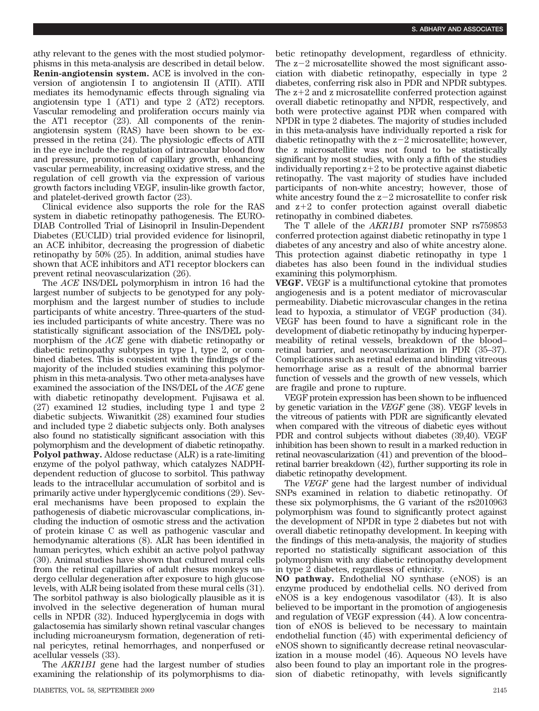athy relevant to the genes with the most studied polymorphisms in this meta-analysis are described in detail below. **Renin-angiotensin system.** ACE is involved in the conversion of angiotensin I to angiotensin II (ATII). ATII mediates its hemodynamic effects through signaling via angiotensin type 1 (AT1) and type 2 (AT2) receptors. Vascular remodeling and proliferation occurs mainly via the AT1 receptor (23). All components of the reninangiotensin system (RAS) have been shown to be expressed in the retina (24). The physiologic effects of ATII in the eye include the regulation of intraocular blood flow and pressure, promotion of capillary growth, enhancing vascular permeability, increasing oxidative stress, and the regulation of cell growth via the expression of various growth factors including VEGF, insulin-like growth factor, and platelet-derived growth factor (23).

Clinical evidence also supports the role for the RAS system in diabetic retinopathy pathogenesis. The EURO-DIAB Controlled Trial of Lisinopril in Insulin-Dependent Diabetes (EUCLID) trial provided evidence for lisinopril, an ACE inhibitor, decreasing the progression of diabetic retinopathy by 50% (25). In addition, animal studies have shown that ACE inhibitors and AT1 receptor blockers can prevent retinal neovascularization (26).

The *ACE* INS/DEL polymorphism in intron 16 had the largest number of subjects to be genotyped for any polymorphism and the largest number of studies to include participants of white ancestry. Three-quarters of the studies included participants of white ancestry. There was no statistically significant association of the INS/DEL polymorphism of the *ACE* gene with diabetic retinopathy or diabetic retinopathy subtypes in type 1, type 2, or combined diabetes. This is consistent with the findings of the majority of the included studies examining this polymorphism in this meta-analysis. Two other meta-analyses have examined the association of the INS/DEL of the *ACE* gene with diabetic retinopathy development. Fujisawa et al. (27) examined 12 studies, including type 1 and type 2 diabetic subjects. Wiwanitkit (28) examined four studies and included type 2 diabetic subjects only. Both analyses also found no statistically significant association with this polymorphism and the development of diabetic retinopathy. **Polyol pathway.** Aldose reductase (ALR) is a rate-limiting enzyme of the polyol pathway, which catalyzes NADPHdependent reduction of glucose to sorbitol. This pathway leads to the intracellular accumulation of sorbitol and is primarily active under hyperglycemic conditions (29). Several mechanisms have been proposed to explain the pathogenesis of diabetic microvascular complications, including the induction of osmotic stress and the activation of protein kinase C as well as pathogenic vascular and hemodynamic alterations (8). ALR has been identified in human pericytes, which exhibit an active polyol pathway (30). Animal studies have shown that cultured mural cells from the retinal capillaries of adult rhesus monkeys undergo cellular degeneration after exposure to high glucose levels, with ALR being isolated from these mural cells (31). The sorbitol pathway is also biologically plausible as it is involved in the selective degeneration of human mural cells in NPDR (32). Induced hyperglycemia in dogs with galactosemia has similarly shown retinal vascular changes including microaneurysm formation, degeneration of retinal pericytes, retinal hemorrhages, and nonperfused or acellular vessels (33).

The *AKR1B1* gene had the largest number of studies examining the relationship of its polymorphisms to diabetic retinopathy development, regardless of ethnicity. The  $z-2$  microsatellite showed the most significant association with diabetic retinopathy, especially in type 2 diabetes, conferring risk also in PDR and NPDR subtypes. The  $z+2$  and z microsatellite conferred protection against overall diabetic retinopathy and NPDR, respectively, and both were protective against PDR when compared with NPDR in type 2 diabetes. The majority of studies included in this meta-analysis have individually reported a risk for diabetic retinopathy with the  $z-2$  microsatellite; however, the z microsatellite was not found to be statistically significant by most studies, with only a fifth of the studies individually reporting  $z+2$  to be protective against diabetic retinopathy. The vast majority of studies have included participants of non-white ancestry; however, those of white ancestry found the  $z-2$  microsatellite to confer risk and  $z+2$  to confer protection against overall diabetic retinopathy in combined diabetes.

The T allele of the *AKR1B1* promoter SNP rs759853 conferred protection against diabetic retinopathy in type 1 diabetes of any ancestry and also of white ancestry alone. This protection against diabetic retinopathy in type 1 diabetes has also been found in the individual studies examining this polymorphism.

**VEGF.** VEGF is a multifunctional cytokine that promotes angiogenesis and is a potent mediator of microvascular permeability. Diabetic microvascular changes in the retina lead to hypoxia, a stimulator of VEGF production (34). VEGF has been found to have a significant role in the development of diabetic retinopathy by inducing hyperpermeability of retinal vessels, breakdown of the blood– retinal barrier, and neovascularization in PDR (35–37). Complications such as retinal edema and blinding vitreous hemorrhage arise as a result of the abnormal barrier function of vessels and the growth of new vessels, which are fragile and prone to rupture.

VEGF protein expression has been shown to be influenced by genetic variation in the *VEGF* gene (38). VEGF levels in the vitreous of patients with PDR are significantly elevated when compared with the vitreous of diabetic eyes without PDR and control subjects without diabetes (39,40). VEGF inhibition has been shown to result in a marked reduction in retinal neovascularization (41) and prevention of the blood– retinal barrier breakdown (42), further supporting its role in diabetic retinopathy development.

The *VEGF* gene had the largest number of individual SNPs examined in relation to diabetic retinopathy. Of these six polymorphisms, the G variant of the rs2010963 polymorphism was found to significantly protect against the development of NPDR in type 2 diabetes but not with overall diabetic retinopathy development. In keeping with the findings of this meta-analysis, the majority of studies reported no statistically significant association of this polymorphism with any diabetic retinopathy development in type 2 diabetes, regardless of ethnicity.

**NO pathway.** Endothelial NO synthase (eNOS) is an enzyme produced by endothelial cells. NO derived from eNOS is a key endogenous vasodilator (43). It is also believed to be important in the promotion of angiogenesis and regulation of VEGF expression (44). A low concentration of eNOS is believed to be necessary to maintain endothelial function (45) with experimental deficiency of eNOS shown to significantly decrease retinal neovascularization in a mouse model (46). Aqueous NO levels have also been found to play an important role in the progression of diabetic retinopathy, with levels significantly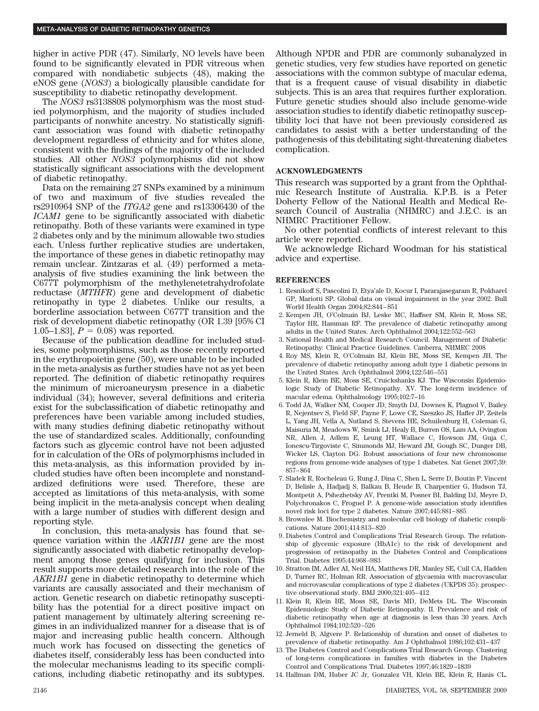higher in active PDR (47). Similarly, NO levels have been found to be significantly elevated in PDR vitreous when compared with nondiabetic subjects (48), making the eNOS gene (*NOS3*) a biologically plausible candidate for susceptibility to diabetic retinopathy development.

The *NOS3* rs3138808 polymorphism was the most studied polymorphism, and the majority of studies included participants of nonwhite ancestry. No statistically significant association was found with diabetic retinopathy development regardless of ethnicity and for whites alone, consistent with the findings of the majority of the included studies. All other *NOS3* polymorphisms did not show statistically significant associations with the development of diabetic retinopathy.

Data on the remaining 27 SNPs examined by a minimum of two and maximum of five studies revealed the rs2910964 SNP of the *ITGA2* gene and rs13306430 of the *ICAM1* gene to be significantly associated with diabetic retinopathy. Both of these variants were examined in type 2 diabetes only and by the minimum allowable two studies each. Unless further replicative studies are undertaken, the importance of these genes in diabetic retinopathy may remain unclear. Zintzaras et al. (49) performed a metaanalysis of five studies examining the link between the C677T polymorphism of the methylenetetrahydrofolate reductase (*MTHFR*) gene and development of diabetic retinopathy in type 2 diabetes. Unlike our results, a borderline association between C677T transition and the risk of development diabetic retinopathy (OR 1.39 [95% CI 1.05–1.83],  $P = 0.08$  was reported.

Because of the publication deadline for included studies, some polymorphisms, such as those recently reported in the erythropoietin gene (50), were unable to be included in the meta-analysis as further studies have not as yet been reported. The definition of diabetic retinopathy requires the minimum of microaneurysm presence in a diabetic individual (34); however, several definitions and criteria exist for the subclassification of diabetic retinopathy and preferences have been variable among included studies, with many studies defining diabetic retinopathy without the use of standardized scales. Additionally, confounding factors such as glycemic control have not been adjusted for in calculation of the ORs of polymorphisms included in this meta-analysis, as this information provided by included studies have often been incomplete and nonstandardized definitions were used. Therefore, these are accepted as limitations of this meta-analysis, with some being implicit in the meta-analysis concept when dealing with a large number of studies with different design and reporting style.

In conclusion, this meta-analysis has found that sequence variation within the *AKR1B1* gene are the most significantly associated with diabetic retinopathy development among those genes qualifying for inclusion. This result supports more detailed research into the role of the *AKR1B1* gene in diabetic retinopathy to determine which variants are causally associated and their mechanism of action. Genetic research on diabetic retinopathy susceptibility has the potential for a direct positive impact on patient management by ultimately altering screening regimes in an individualized manner for a disease that is of major and increasing public health concern. Although much work has focused on dissecting the genetics of diabetes itself, considerably less has been conducted into the molecular mechanisms leading to its specific complications, including diabetic retinopathy and its subtypes.

Although NPDR and PDR are commonly subanalyzed in genetic studies, very few studies have reported on genetic associations with the common subtype of macular edema, that is a frequent cause of visual disability in diabetic subjects. This is an area that requires further exploration. Future genetic studies should also include genome-wide association studies to identify diabetic retinopathy susceptibility loci that have not been previously considered as candidates to assist with a better understanding of the pathogenesis of this debilitating sight-threatening diabetes complication.

### **ACKNOWLEDGMENTS**

This research was supported by a grant from the Ophthalmic Research Institute of Australia. K.P.B. is a Peter Doherty Fellow of the National Health and Medical Research Council of Australia (NHMRC) and J.E.C. is an NHMRC Practitioner Fellow.

No other potential conflicts of interest relevant to this article were reported.

We acknowledge Richard Woodman for his statistical advice and expertise.

### **REFERENCES**

- 1. Resnikoff S, Pascolini D, Etya'ale D, Kocur I, Pararajasegaram R, Pokharel GP, Mariotti SP. Global data on visual impairment in the year 2002. Bull World Health Organ 2004;82:844 – 851
- 2. Kempen JH, O'Colmain BJ, Leske MC, Haffner SM, Klein R, Moss SE, Taylor HR, Hamman RF. The prevalence of diabetic retinopathy among adults in the United States. Arch Ophthalmol 2004;122:552–563
- 3. National Health and Medical Research Council. Management of Diabetic Retinopathy: Clinical Practice Guidelines. Canberra, NHMRC 2008
- 4. Roy MS, Klein R, O'Colmain BJ, Klein BE, Moss SE, Kempen JH. The prevalence of diabetic retinopathy among adult type 1 diabetic persons in the United States. Arch Ophthalmol 2004;122:546 –551
- 5. Klein R, Klein BE, Moss SE, Cruickshanks KJ. The Wisconsin Epidemiologic Study of Diabetic Retinopathy. XV. The long-term incidence of macular edema. Ophthalmology 1995;102:7–16
- 6. Todd JA, Walker NM, Cooper JD, Smyth DJ, Downes K, Plagnol V, Bailey R, Nejentsev S, Field SF, Payne F, Lowe CE, Szeszko JS, Hafler JP, Zeitels L, Yang JH, Vella A, Nutland S, Stevens HE, Schuilenburg H, Coleman G, Maisuria M, Meadows W, Smink LJ, Healy B, Burren OS, Lam AA, Ovington NR, Allen J, Adlem E, Leung HT, Wallace C, Howson JM, Guja C, Ionescu-Tirgoviste C, Simmonds MJ, Heward JM, Gough SC, Dunger DB, Wicker LS, Clayton DG. Robust associations of four new chromosome regions from genome-wide analyses of type 1 diabetes. Nat Genet 2007;39: 857– 864
- 7. Sladek R, Rocheleau G, Rung J, Dina C, Shen L, Serre D, Boutin P, Vincent D, Belisle A, Hadjadj S, Balkau B, Heude B, Charpentier G, Hudson TJ, Montpetit A, Pshezhetsky AV, Prentki M, Posner BI, Balding DJ, Meyre D, Polychronakos C, Froguel P. A genome-wide association study identifies novel risk loci for type 2 diabetes. Nature 2007;445:881– 885
- 8. Brownlee M. Biochemistry and molecular cell biology of diabetic complications. Nature 2001;414:813– 820
- 9. Diabetes Control and Complications Trial Research Group. The relationship of glycemic exposure (HbA1c) to the risk of development and progression of retinopathy in the Diabetes Control and Complications Trial. Diabetes 1995;44:968 –983
- 10. Stratton IM, Adler AI, Neil HA, Matthews DR, Manley SE, Cull CA, Hadden D, Turner RC, Holman RR. Association of glycaemia with macrovascular and microvascular complications of type 2 diabetes (UKPDS 35): prospective observational study. BMJ 2000;321:405– 412
- 11. Klein R, Klein BE, Moss SE, Davis MD, DeMets DL. The Wisconsin Epidemiologic Study of Diabetic Retinopathy. II. Prevalence and risk of diabetic retinopathy when age at diagnosis is less than 30 years. Arch Ophthalmol 1984;102:520 –526
- 12. Jerneld B, Algvere P. Relationship of duration and onset of diabetes to prevalence of diabetic retinopathy. Am J Ophthalmol 1986;102:431– 437
- 13. The Diabetes Control and Complications Trial Research Group. Clustering of long-term complications in families with diabetes in the Diabetes Control and Complications Trial. Diabetes 1997;46:1829 –1839
- 14. Hallman DM, Huber JC Jr, Gonzalez VH, Klein BE, Klein R, Hanis CL.